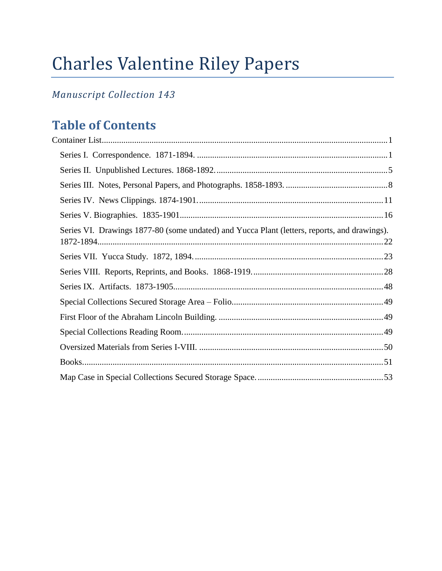# Charles Valentine Riley Papers

# *Manuscript Collection 143*

# **Table of Contents**

| Series VI. Drawings 1877-80 (some undated) and Yucca Plant (letters, reports, and drawings). |  |
|----------------------------------------------------------------------------------------------|--|
|                                                                                              |  |
|                                                                                              |  |
|                                                                                              |  |
|                                                                                              |  |
|                                                                                              |  |
|                                                                                              |  |
|                                                                                              |  |
|                                                                                              |  |
|                                                                                              |  |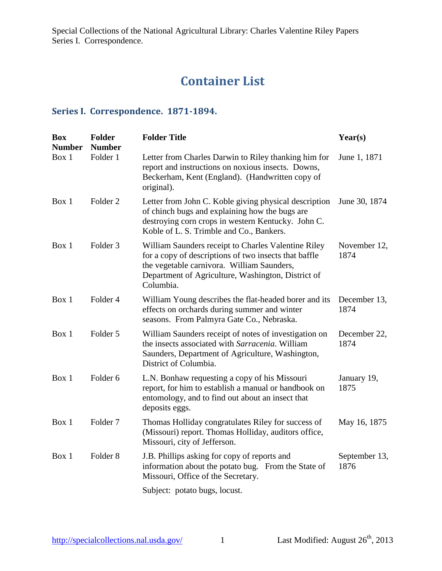# **Container List**

#### <span id="page-1-1"></span><span id="page-1-0"></span>**Series I. Correspondence. 1871-1894.**

| <b>Box</b><br><b>Number</b> | <b>Folder</b><br><b>Number</b> | <b>Folder Title</b>                                                                                                                                                                                                           | Year(s)               |
|-----------------------------|--------------------------------|-------------------------------------------------------------------------------------------------------------------------------------------------------------------------------------------------------------------------------|-----------------------|
| Box 1                       | Folder 1                       | Letter from Charles Darwin to Riley thanking him for<br>report and instructions on noxious insects. Downs,<br>Beckerham, Kent (England). (Handwritten copy of<br>original).                                                   | June 1, 1871          |
| Box 1                       | Folder <sub>2</sub>            | Letter from John C. Koble giving physical description<br>of chinch bugs and explaining how the bugs are<br>destroying corn crops in western Kentucky. John C.<br>Koble of L. S. Trimble and Co., Bankers.                     | June 30, 1874         |
| Box 1                       | Folder <sub>3</sub>            | William Saunders receipt to Charles Valentine Riley<br>for a copy of descriptions of two insects that baffle<br>the vegetable carnivora. William Saunders,<br>Department of Agriculture, Washington, District of<br>Columbia. | November 12,<br>1874  |
| Box 1                       | Folder 4                       | William Young describes the flat-headed borer and its<br>effects on orchards during summer and winter<br>seasons. From Palmyra Gate Co., Nebraska.                                                                            | December 13,<br>1874  |
| Box 1                       | Folder 5                       | William Saunders receipt of notes of investigation on<br>the insects associated with Sarracenia. William<br>Saunders, Department of Agriculture, Washington,<br>District of Columbia.                                         | December 22,<br>1874  |
| Box 1                       | Folder <sub>6</sub>            | L.N. Bonhaw requesting a copy of his Missouri<br>report, for him to establish a manual or handbook on<br>entomology, and to find out about an insect that<br>deposits eggs.                                                   | January 19,<br>1875   |
| Box 1                       | Folder <sub>7</sub>            | Thomas Holliday congratulates Riley for success of<br>(Missouri) report. Thomas Holliday, auditors office,<br>Missouri, city of Jefferson.                                                                                    | May 16, 1875          |
| Box 1                       | Folder <sub>8</sub>            | J.B. Phillips asking for copy of reports and<br>information about the potato bug. From the State of<br>Missouri, Office of the Secretary.                                                                                     | September 13,<br>1876 |
|                             |                                | Subject: potato bugs, locust.                                                                                                                                                                                                 |                       |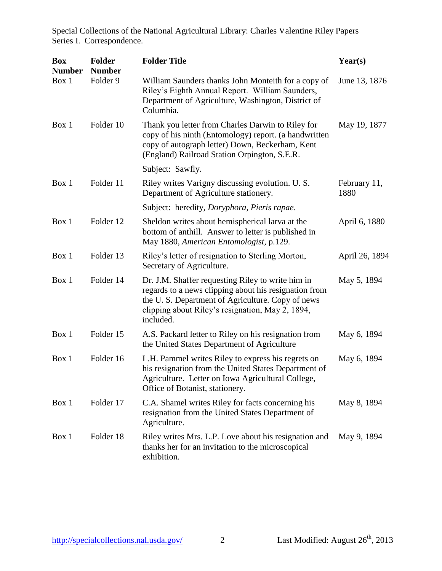| <b>Box</b><br><b>Number</b> | <b>Folder</b><br><b>Number</b> | <b>Folder Title</b>                                                                                                                                                                                                             | Year(s)              |
|-----------------------------|--------------------------------|---------------------------------------------------------------------------------------------------------------------------------------------------------------------------------------------------------------------------------|----------------------|
| Box 1                       | Folder 9                       | William Saunders thanks John Monteith for a copy of<br>Riley's Eighth Annual Report. William Saunders,<br>Department of Agriculture, Washington, District of<br>Columbia.                                                       | June 13, 1876        |
| Box 1                       | Folder 10                      | Thank you letter from Charles Darwin to Riley for<br>copy of his ninth (Entomology) report. (a handwritten<br>copy of autograph letter) Down, Beckerham, Kent<br>(England) Railroad Station Orpington, S.E.R.                   | May 19, 1877         |
|                             |                                | Subject: Sawfly.                                                                                                                                                                                                                |                      |
| Box 1                       | Folder 11                      | Riley writes Varigny discussing evolution. U. S.<br>Department of Agriculture stationery.                                                                                                                                       | February 11,<br>1880 |
|                             |                                | Subject: heredity, Doryphora, Pieris rapae.                                                                                                                                                                                     |                      |
| Box 1                       | Folder 12                      | Sheldon writes about hemispherical larva at the<br>bottom of anthill. Answer to letter is published in<br>May 1880, American Entomologist, p.129.                                                                               | April 6, 1880        |
| Box 1                       | Folder 13                      | Riley's letter of resignation to Sterling Morton,<br>Secretary of Agriculture.                                                                                                                                                  | April 26, 1894       |
| Box 1                       | Folder 14                      | Dr. J.M. Shaffer requesting Riley to write him in<br>regards to a news clipping about his resignation from<br>the U.S. Department of Agriculture. Copy of news<br>clipping about Riley's resignation, May 2, 1894,<br>included. | May 5, 1894          |
| Box 1                       | Folder 15                      | A.S. Packard letter to Riley on his resignation from<br>the United States Department of Agriculture                                                                                                                             | May 6, 1894          |
| Box 1                       | Folder 16                      | L.H. Pammel writes Riley to express his regrets on<br>his resignation from the United States Department of<br>Agriculture. Letter on Iowa Agricultural College,<br>Office of Botanist, stationery.                              | May 6, 1894          |
| Box 1                       | Folder 17                      | C.A. Shamel writes Riley for facts concerning his<br>resignation from the United States Department of<br>Agriculture.                                                                                                           | May 8, 1894          |
| Box 1                       | Folder 18                      | Riley writes Mrs. L.P. Love about his resignation and<br>thanks her for an invitation to the microscopical<br>exhibition.                                                                                                       | May 9, 1894          |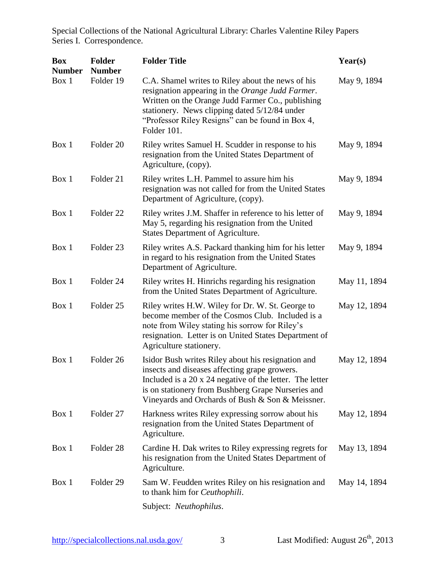| <b>Box</b><br><b>Number</b> | <b>Folder</b><br><b>Number</b> | <b>Folder Title</b>                                                                                                                                                                                                                                                            | Year(s)      |
|-----------------------------|--------------------------------|--------------------------------------------------------------------------------------------------------------------------------------------------------------------------------------------------------------------------------------------------------------------------------|--------------|
| Box 1                       | Folder 19                      | C.A. Shamel writes to Riley about the news of his<br>resignation appearing in the Orange Judd Farmer.<br>Written on the Orange Judd Farmer Co., publishing<br>stationery. News clipping dated 5/12/84 under<br>"Professor Riley Resigns" can be found in Box 4,<br>Folder 101. | May 9, 1894  |
| Box 1                       | Folder 20                      | Riley writes Samuel H. Scudder in response to his<br>resignation from the United States Department of<br>Agriculture, (copy).                                                                                                                                                  | May 9, 1894  |
| Box 1                       | Folder 21                      | Riley writes L.H. Pammel to assure him his<br>resignation was not called for from the United States<br>Department of Agriculture, (copy).                                                                                                                                      | May 9, 1894  |
| Box 1                       | Folder <sub>22</sub>           | Riley writes J.M. Shaffer in reference to his letter of<br>May 5, regarding his resignation from the United<br><b>States Department of Agriculture.</b>                                                                                                                        | May 9, 1894  |
| Box 1                       | Folder <sub>23</sub>           | Riley writes A.S. Packard thanking him for his letter<br>in regard to his resignation from the United States<br>Department of Agriculture.                                                                                                                                     | May 9, 1894  |
| Box 1                       | Folder 24                      | Riley writes H. Hinrichs regarding his resignation<br>from the United States Department of Agriculture.                                                                                                                                                                        | May 11, 1894 |
| Box 1                       | Folder <sub>25</sub>           | Riley writes H.W. Wiley for Dr. W. St. George to<br>become member of the Cosmos Club. Included is a<br>note from Wiley stating his sorrow for Riley's<br>resignation. Letter is on United States Department of<br>Agriculture stationery.                                      | May 12, 1894 |
| Box 1                       | Folder 26                      | Isidor Bush writes Riley about his resignation and<br>insects and diseases affecting grape growers.<br>Included is a 20 x 24 negative of the letter. The letter<br>is on stationery from Bushberg Grape Nurseries and<br>Vineyards and Orchards of Bush & Son & Meissner.      | May 12, 1894 |
| Box 1                       | Folder 27                      | Harkness writes Riley expressing sorrow about his<br>resignation from the United States Department of<br>Agriculture.                                                                                                                                                          | May 12, 1894 |
| Box 1                       | Folder <sub>28</sub>           | Cardine H. Dak writes to Riley expressing regrets for<br>his resignation from the United States Department of<br>Agriculture.                                                                                                                                                  | May 13, 1894 |
| Box 1                       | Folder 29                      | Sam W. Feudden writes Riley on his resignation and<br>to thank him for <i>Ceuthophili</i> .                                                                                                                                                                                    | May 14, 1894 |
|                             |                                | Subject: <i>Neuthophilus</i> .                                                                                                                                                                                                                                                 |              |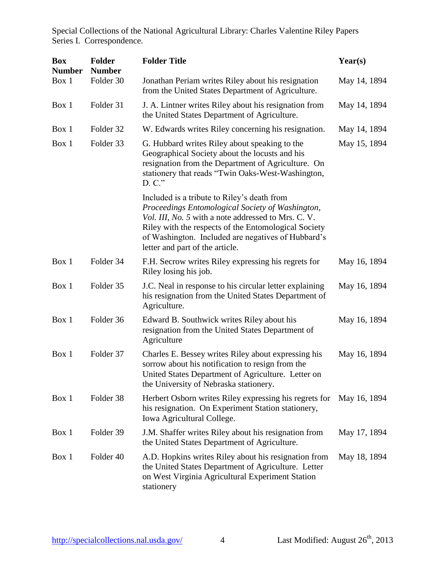| <b>Box</b><br><b>Number</b> | <b>Folder</b><br><b>Number</b> | <b>Folder Title</b>                                                                                                                                                                                                                                                                                     | Year(s)      |
|-----------------------------|--------------------------------|---------------------------------------------------------------------------------------------------------------------------------------------------------------------------------------------------------------------------------------------------------------------------------------------------------|--------------|
| Box 1                       | Folder 30                      | Jonathan Periam writes Riley about his resignation<br>from the United States Department of Agriculture.                                                                                                                                                                                                 | May 14, 1894 |
| Box 1                       | Folder 31                      | J. A. Lintner writes Riley about his resignation from<br>the United States Department of Agriculture.                                                                                                                                                                                                   | May 14, 1894 |
| Box 1                       | Folder 32                      | W. Edwards writes Riley concerning his resignation.                                                                                                                                                                                                                                                     | May 14, 1894 |
| Box 1                       | Folder 33                      | G. Hubbard writes Riley about speaking to the<br>Geographical Society about the locusts and his<br>resignation from the Department of Agriculture. On<br>stationery that reads "Twin Oaks-West-Washington,<br>$D. C.$ "                                                                                 | May 15, 1894 |
|                             |                                | Included is a tribute to Riley's death from<br>Proceedings Entomological Society of Washington,<br>Vol. III, No. 5 with a note addressed to Mrs. C. V.<br>Riley with the respects of the Entomological Society<br>of Washington. Included are negatives of Hubbard's<br>letter and part of the article. |              |
| Box 1                       | Folder 34                      | F.H. Secrow writes Riley expressing his regrets for<br>Riley losing his job.                                                                                                                                                                                                                            | May 16, 1894 |
| Box 1                       | Folder 35                      | J.C. Neal in response to his circular letter explaining<br>his resignation from the United States Department of<br>Agriculture.                                                                                                                                                                         | May 16, 1894 |
| Box 1                       | Folder 36                      | Edward B. Southwick writes Riley about his<br>resignation from the United States Department of<br>Agriculture                                                                                                                                                                                           | May 16, 1894 |
| Box 1                       | Folder 37                      | Charles E. Bessey writes Riley about expressing his<br>sorrow about his notification to resign from the<br>United States Department of Agriculture. Letter on<br>the University of Nebraska stationery.                                                                                                 | May 16, 1894 |
| Box 1                       | Folder 38                      | Herbert Osborn writes Riley expressing his regrets for<br>his resignation. On Experiment Station stationery,<br>Iowa Agricultural College.                                                                                                                                                              | May 16, 1894 |
| Box 1                       | Folder 39                      | J.M. Shaffer writes Riley about his resignation from<br>the United States Department of Agriculture.                                                                                                                                                                                                    | May 17, 1894 |
| Box 1                       | Folder 40                      | A.D. Hopkins writes Riley about his resignation from<br>the United States Department of Agriculture. Letter<br>on West Virginia Agricultural Experiment Station<br>stationery                                                                                                                           | May 18, 1894 |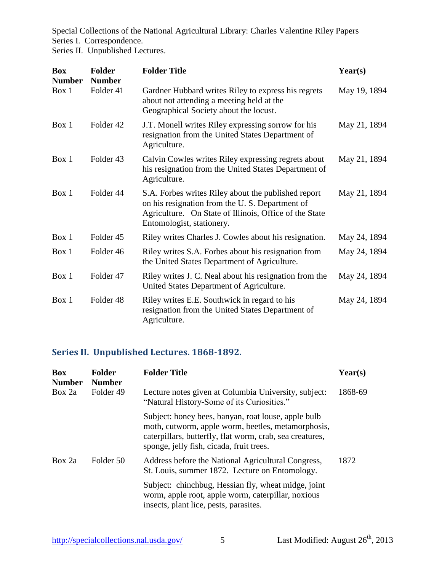Series II. Unpublished Lectures.

| <b>Box</b><br><b>Number</b> | <b>Folder</b><br><b>Number</b> | <b>Folder Title</b>                                                                                                                                                                          | Year(s)      |
|-----------------------------|--------------------------------|----------------------------------------------------------------------------------------------------------------------------------------------------------------------------------------------|--------------|
| Box 1                       | Folder 41                      | Gardner Hubbard writes Riley to express his regrets<br>about not attending a meeting held at the<br>Geographical Society about the locust.                                                   | May 19, 1894 |
| Box 1                       | Folder 42                      | J.T. Monell writes Riley expressing sorrow for his<br>resignation from the United States Department of<br>Agriculture.                                                                       | May 21, 1894 |
| Box 1                       | Folder <sub>43</sub>           | Calvin Cowles writes Riley expressing regrets about<br>his resignation from the United States Department of<br>Agriculture.                                                                  | May 21, 1894 |
| Box 1                       | Folder 44                      | S.A. Forbes writes Riley about the published report<br>on his resignation from the U.S. Department of<br>Agriculture. On State of Illinois, Office of the State<br>Entomologist, stationery. | May 21, 1894 |
| Box 1                       | Folder <sub>45</sub>           | Riley writes Charles J. Cowles about his resignation.                                                                                                                                        | May 24, 1894 |
| Box 1                       | Folder 46                      | Riley writes S.A. Forbes about his resignation from<br>the United States Department of Agriculture.                                                                                          | May 24, 1894 |
| Box 1                       | Folder 47                      | Riley writes J. C. Neal about his resignation from the<br>United States Department of Agriculture.                                                                                           | May 24, 1894 |
| Box 1                       | Folder <sub>48</sub>           | Riley writes E.E. Southwick in regard to his<br>resignation from the United States Department of<br>Agriculture.                                                                             | May 24, 1894 |

# <span id="page-5-0"></span>**Series II. Unpublished Lectures. 1868-1892.**

| <b>Box</b><br><b>Number</b> | <b>Folder</b><br><b>Number</b> | <b>Folder Title</b>                                                                                                                                                                                               | $\textbf{Year}(s)$ |
|-----------------------------|--------------------------------|-------------------------------------------------------------------------------------------------------------------------------------------------------------------------------------------------------------------|--------------------|
| Box 2a                      | Folder 49                      | Lecture notes given at Columbia University, subject:<br>"Natural History-Some of its Curiosities."                                                                                                                | 1868-69            |
|                             |                                | Subject: honey bees, banyan, roat louse, apple bulb<br>moth, cutworm, apple worm, beetles, metamorphosis,<br>caterpillars, butterfly, flat worm, crab, sea creatures,<br>sponge, jelly fish, cicada, fruit trees. |                    |
| Box 2a                      | Folder 50                      | Address before the National Agricultural Congress,<br>St. Louis, summer 1872. Lecture on Entomology.                                                                                                              | 1872               |
|                             |                                | Subject: chinchbug, Hessian fly, wheat midge, joint<br>worm, apple root, apple worm, caterpillar, noxious<br>insects, plant lice, pests, parasites.                                                               |                    |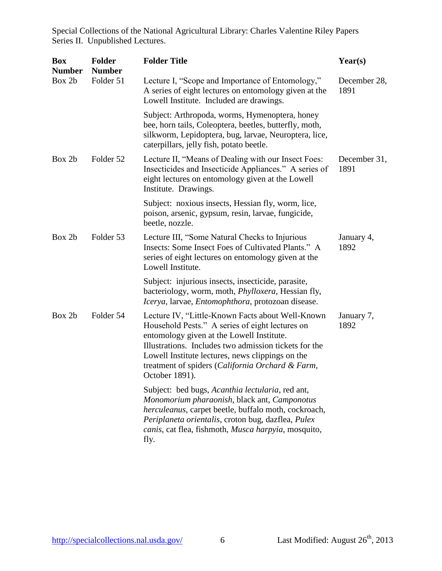Special Collections of the National Agricultural Library: Charles Valentine Riley Papers Series II. Unpublished Lectures.

| <b>Box</b><br><b>Number</b> | <b>Folder</b><br><b>Number</b> | <b>Folder Title</b>                                                                                                                                                                                                                                                                                                                 | Year(s)              |
|-----------------------------|--------------------------------|-------------------------------------------------------------------------------------------------------------------------------------------------------------------------------------------------------------------------------------------------------------------------------------------------------------------------------------|----------------------|
| Box 2b                      | Folder 51                      | Lecture I, "Scope and Importance of Entomology,"<br>A series of eight lectures on entomology given at the<br>Lowell Institute. Included are drawings.                                                                                                                                                                               | December 28,<br>1891 |
|                             |                                | Subject: Arthropoda, worms, Hymenoptera, honey<br>bee, horn tails, Coleoptera, beetles, butterfly, moth,<br>silkworm, Lepidoptera, bug, larvae, Neuroptera, lice,<br>caterpillars, jelly fish, potato beetle.                                                                                                                       |                      |
| Box 2b                      | Folder 52                      | Lecture II, "Means of Dealing with our Insect Foes:<br>Insecticides and Insecticide Appliances." A series of<br>eight lectures on entomology given at the Lowell<br>Institute. Drawings.                                                                                                                                            | December 31,<br>1891 |
|                             |                                | Subject: noxious insects, Hessian fly, worm, lice,<br>poison, arsenic, gypsum, resin, larvae, fungicide,<br>beetle, nozzle.                                                                                                                                                                                                         |                      |
| Box 2b                      | Folder 53                      | Lecture III, "Some Natural Checks to Injurious<br>Insects: Some Insect Foes of Cultivated Plants." A<br>series of eight lectures on entomology given at the<br>Lowell Institute.                                                                                                                                                    | January 4,<br>1892   |
|                             |                                | Subject: injurious insects, insecticide, parasite,<br>bacteriology, worm, moth, <i>Phylloxera</i> , Hessian fly,<br>Icerya, larvae, Entomophthora, protozoan disease.                                                                                                                                                               |                      |
| Box 2b                      | Folder 54                      | Lecture IV, "Little-Known Facts about Well-Known<br>Household Pests." A series of eight lectures on<br>entomology given at the Lowell Institute.<br>Illustrations. Includes two admission tickets for the<br>Lowell Institute lectures, news clippings on the<br>treatment of spiders (California Orchard & Farm,<br>October 1891). | January 7,<br>1892   |
|                             |                                | Subject: bed bugs, Acanthia lectularia, red ant,<br>Monomorium pharaonish, black ant, Camponotus<br>herculeanus, carpet beetle, buffalo moth, cockroach,<br>Periplaneta orientalis, croton bug, dazflea, Pulex<br>canis, cat flea, fishmoth, Musca harpyia, mosquito,<br>fly.                                                       |                      |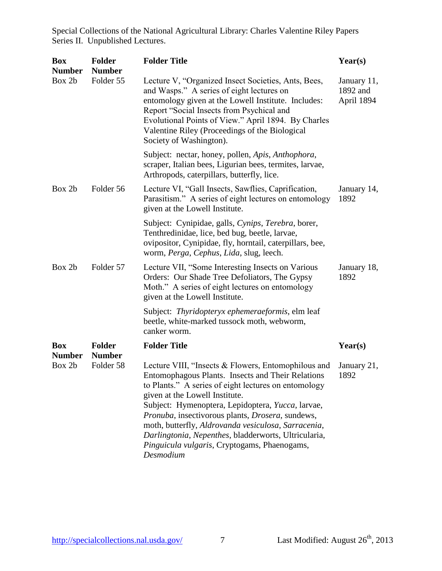Special Collections of the National Agricultural Library: Charles Valentine Riley Papers Series II. Unpublished Lectures.

| <b>Box</b><br><b>Number</b> | <b>Folder</b><br><b>Number</b> | <b>Folder Title</b>                                                                                                                                                                                                                                                                                                                                                                                                                                                                     | Year(s)                               |
|-----------------------------|--------------------------------|-----------------------------------------------------------------------------------------------------------------------------------------------------------------------------------------------------------------------------------------------------------------------------------------------------------------------------------------------------------------------------------------------------------------------------------------------------------------------------------------|---------------------------------------|
| Box 2b                      | Folder 55                      | Lecture V, "Organized Insect Societies, Ants, Bees,<br>and Wasps." A series of eight lectures on<br>entomology given at the Lowell Institute. Includes:<br>Report "Social Insects from Psychical and<br>Evolutional Points of View." April 1894. By Charles<br>Valentine Riley (Proceedings of the Biological<br>Society of Washington).                                                                                                                                                | January 11,<br>1892 and<br>April 1894 |
|                             |                                | Subject: nectar, honey, pollen, Apis, Anthophora,<br>scraper, Italian bees, Ligurian bees, termites, larvae,<br>Arthropods, caterpillars, butterfly, lice.                                                                                                                                                                                                                                                                                                                              |                                       |
| Box 2b                      | Folder 56                      | Lecture VI, "Gall Insects, Sawflies, Caprification,<br>Parasitism." A series of eight lectures on entomology<br>given at the Lowell Institute.                                                                                                                                                                                                                                                                                                                                          | January 14,<br>1892                   |
|                             |                                | Subject: Cynipidae, galls, Cynips, Terebra, borer,<br>Tenthredinidae, lice, bed bug, beetle, larvae,<br>ovipositor, Cynipidae, fly, horntail, caterpillars, bee,<br>worm, Perga, Cephus, Lida, slug, leech.                                                                                                                                                                                                                                                                             |                                       |
| Box 2b                      | Folder 57                      | Lecture VII, "Some Interesting Insects on Various<br>Orders: Our Shade Tree Defoliators, The Gypsy<br>Moth." A series of eight lectures on entomology<br>given at the Lowell Institute.                                                                                                                                                                                                                                                                                                 | January 18,<br>1892                   |
|                             |                                | Subject: Thyridopteryx ephemeraeformis, elm leaf<br>beetle, white-marked tussock moth, webworm,<br>canker worm.                                                                                                                                                                                                                                                                                                                                                                         |                                       |
| <b>Box</b><br><b>Number</b> | <b>Folder</b><br><b>Number</b> | <b>Folder Title</b>                                                                                                                                                                                                                                                                                                                                                                                                                                                                     | Year(s)                               |
| Box 2b                      | Folder 58                      | Lecture VIII, "Insects & Flowers, Entomophilous and<br>Entomophagous Plants. Insects and Their Relations<br>to Plants." A series of eight lectures on entomology<br>given at the Lowell Institute.<br>Subject: Hymenoptera, Lepidoptera, Yucca, larvae,<br>Pronuba, insectivorous plants, Drosera, sundews,<br>moth, butterfly, Aldrovanda vesiculosa, Sarracenia,<br>Darlingtonia, Nepenthes, bladderworts, Ultricularia,<br>Pinguicula vulgaris, Cryptogams, Phaenogams,<br>Desmodium | January 21,<br>1892                   |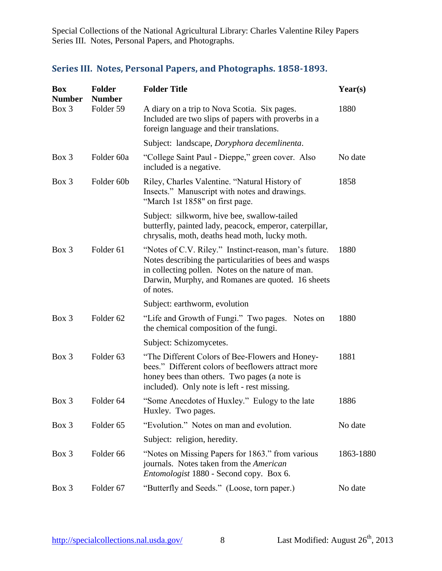Special Collections of the National Agricultural Library: Charles Valentine Riley Papers Series III. Notes, Personal Papers, and Photographs.

# <span id="page-8-0"></span>**Series III. Notes, Personal Papers, and Photographs. 1858-1893.**

| <b>Box</b><br><b>Number</b> | <b>Folder</b><br><b>Number</b> | <b>Folder Title</b>                                                                                                                                                                                                                    | Year(s)   |
|-----------------------------|--------------------------------|----------------------------------------------------------------------------------------------------------------------------------------------------------------------------------------------------------------------------------------|-----------|
| Box 3                       | Folder 59                      | A diary on a trip to Nova Scotia. Six pages.<br>Included are two slips of papers with proverbs in a<br>foreign language and their translations.                                                                                        | 1880      |
|                             |                                | Subject: landscape, Doryphora decemlinenta.                                                                                                                                                                                            |           |
| Box 3                       | Folder 60a                     | "College Saint Paul - Dieppe," green cover. Also<br>included is a negative.                                                                                                                                                            | No date   |
| Box 3                       | Folder 60b                     | Riley, Charles Valentine. "Natural History of<br>Insects." Manuscript with notes and drawings.<br>"March 1st 1858" on first page.                                                                                                      | 1858      |
|                             |                                | Subject: silkworm, hive bee, swallow-tailed<br>butterfly, painted lady, peacock, emperor, caterpillar,<br>chrysalis, moth, deaths head moth, lucky moth.                                                                               |           |
| Box 3                       | Folder <sub>61</sub>           | "Notes of C.V. Riley." Instinct-reason, man's future.<br>Notes describing the particularities of bees and wasps<br>in collecting pollen. Notes on the nature of man.<br>Darwin, Murphy, and Romanes are quoted. 16 sheets<br>of notes. | 1880      |
|                             |                                | Subject: earthworm, evolution                                                                                                                                                                                                          |           |
| Box 3                       | Folder <sub>62</sub>           | "Life and Growth of Fungi." Two pages. Notes on<br>the chemical composition of the fungi.                                                                                                                                              | 1880      |
|                             |                                | Subject: Schizomycetes.                                                                                                                                                                                                                |           |
| Box 3                       | Folder <sub>63</sub>           | "The Different Colors of Bee-Flowers and Honey-<br>bees." Different colors of beeflowers attract more<br>honey bees than others. Two pages (a note is<br>included). Only note is left - rest missing.                                  | 1881      |
| Box 3                       | Folder <sub>64</sub>           | "Some Anecdotes of Huxley." Eulogy to the late<br>Huxley. Two pages.                                                                                                                                                                   | 1886      |
| Box 3                       | Folder <sub>65</sub>           | "Evolution." Notes on man and evolution.                                                                                                                                                                                               | No date   |
|                             |                                | Subject: religion, heredity.                                                                                                                                                                                                           |           |
| Box 3                       | Folder <sub>66</sub>           | "Notes on Missing Papers for 1863." from various<br>journals. Notes taken from the American<br><i>Entomologist</i> 1880 - Second copy. Box 6.                                                                                          | 1863-1880 |
| Box 3                       | Folder 67                      | "Butterfly and Seeds." (Loose, torn paper.)                                                                                                                                                                                            | No date   |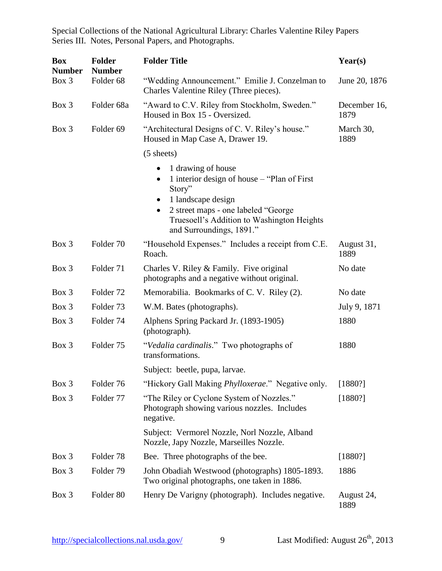Special Collections of the National Agricultural Library: Charles Valentine Riley Papers Series III. Notes, Personal Papers, and Photographs.

| <b>Box</b><br><b>Number</b> | <b>Folder</b><br><b>Number</b> | <b>Folder Title</b>                                                                                                                                                                                                                                       | Year(s)              |
|-----------------------------|--------------------------------|-----------------------------------------------------------------------------------------------------------------------------------------------------------------------------------------------------------------------------------------------------------|----------------------|
| Box 3                       | Folder <sub>68</sub>           | "Wedding Announcement." Emilie J. Conzelman to<br>Charles Valentine Riley (Three pieces).                                                                                                                                                                 | June 20, 1876        |
| Box 3                       | Folder 68a                     | "Award to C.V. Riley from Stockholm, Sweden."<br>Housed in Box 15 - Oversized.                                                                                                                                                                            | December 16,<br>1879 |
| Box 3                       | Folder <sub>69</sub>           | "Architectural Designs of C. V. Riley's house."<br>Housed in Map Case A, Drawer 19.                                                                                                                                                                       | March 30,<br>1889    |
|                             |                                | $(5 \text{ sheets})$                                                                                                                                                                                                                                      |                      |
|                             |                                | 1 drawing of house<br>1 interior design of house - "Plan of First<br>$\bullet$<br>Story"<br>1 landscape design<br>$\bullet$<br>2 street maps - one labeled "George<br>$\bullet$<br>Truesoell's Addition to Washington Heights<br>and Surroundings, 1891." |                      |
| Box 3                       | Folder 70                      | "Household Expenses." Includes a receipt from C.E.<br>Roach.                                                                                                                                                                                              | August 31,<br>1889   |
| Box 3                       | Folder 71                      | Charles V. Riley & Family. Five original<br>photographs and a negative without original.                                                                                                                                                                  | No date              |
| Box 3                       | Folder <sub>72</sub>           | Memorabilia. Bookmarks of C. V. Riley (2).                                                                                                                                                                                                                | No date              |
| Box 3                       | Folder <sub>73</sub>           | W.M. Bates (photographs).                                                                                                                                                                                                                                 | July 9, 1871         |
| Box 3                       | Folder 74                      | Alphens Spring Packard Jr. (1893-1905)<br>(photograph).                                                                                                                                                                                                   | 1880                 |
| Box 3                       | Folder 75                      | "Vedalia cardinalis." Two photographs of<br>transformations.                                                                                                                                                                                              | 1880                 |
|                             |                                | Subject: beetle, pupa, larvae.                                                                                                                                                                                                                            |                      |
| Box 3                       | Folder 76                      | "Hickory Gall Making <i>Phylloxerae</i> ." Negative only.                                                                                                                                                                                                 | [1880?]              |
| Box 3                       | Folder 77                      | "The Riley or Cyclone System of Nozzles."<br>Photograph showing various nozzles. Includes<br>negative.                                                                                                                                                    | [1880?]              |
|                             |                                | Subject: Vermorel Nozzle, Norl Nozzle, Alband<br>Nozzle, Japy Nozzle, Marseilles Nozzle.                                                                                                                                                                  |                      |
| Box 3                       | Folder <sub>78</sub>           | Bee. Three photographs of the bee.                                                                                                                                                                                                                        | [1880?]              |
| Box 3                       | Folder 79                      | John Obadiah Westwood (photographs) 1805-1893.<br>Two original photographs, one taken in 1886.                                                                                                                                                            | 1886                 |
| Box 3                       | Folder 80                      | Henry De Varigny (photograph). Includes negative.                                                                                                                                                                                                         | August 24,<br>1889   |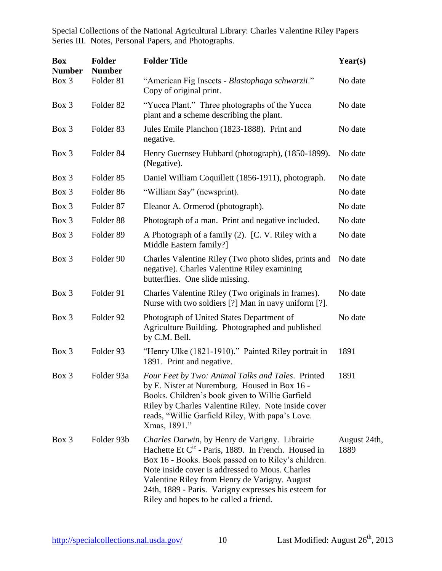Special Collections of the National Agricultural Library: Charles Valentine Riley Papers Series III. Notes, Personal Papers, and Photographs.

| <b>Box</b><br><b>Number</b> | <b>Folder</b><br><b>Number</b> | <b>Folder Title</b>                                                                                                                                                                                                                                                                                                                                                     | Year(s)              |
|-----------------------------|--------------------------------|-------------------------------------------------------------------------------------------------------------------------------------------------------------------------------------------------------------------------------------------------------------------------------------------------------------------------------------------------------------------------|----------------------|
| Box 3                       | Folder 81                      | "American Fig Insects - Blastophaga schwarzii."<br>Copy of original print.                                                                                                                                                                                                                                                                                              | No date              |
| Box 3                       | Folder <sub>82</sub>           | "Yucca Plant." Three photographs of the Yucca<br>plant and a scheme describing the plant.                                                                                                                                                                                                                                                                               | No date              |
| Box 3                       | Folder <sub>83</sub>           | Jules Emile Planchon (1823-1888). Print and<br>negative.                                                                                                                                                                                                                                                                                                                | No date              |
| Box 3                       | Folder 84                      | Henry Guernsey Hubbard (photograph), (1850-1899).<br>(Negative).                                                                                                                                                                                                                                                                                                        | No date              |
| Box 3                       | Folder <sub>85</sub>           | Daniel William Coquillett (1856-1911), photograph.                                                                                                                                                                                                                                                                                                                      | No date              |
| Box 3                       | Folder <sub>86</sub>           | "William Say" (newsprint).                                                                                                                                                                                                                                                                                                                                              | No date              |
| Box 3                       | Folder <sub>87</sub>           | Eleanor A. Ormerod (photograph).                                                                                                                                                                                                                                                                                                                                        | No date              |
| Box 3                       | Folder 88                      | Photograph of a man. Print and negative included.                                                                                                                                                                                                                                                                                                                       | No date              |
| Box 3                       | Folder <sub>89</sub>           | A Photograph of a family (2). [C. V. Riley with a<br>Middle Eastern family?]                                                                                                                                                                                                                                                                                            | No date              |
| $Box$ 3                     | Folder 90                      | Charles Valentine Riley (Two photo slides, prints and<br>negative). Charles Valentine Riley examining<br>butterflies. One slide missing.                                                                                                                                                                                                                                | No date              |
| Box 3                       | Folder 91                      | Charles Valentine Riley (Two originals in frames).<br>Nurse with two soldiers [?] Man in navy uniform [?].                                                                                                                                                                                                                                                              | No date              |
| Box 3                       | Folder 92                      | Photograph of United States Department of<br>Agriculture Building. Photographed and published<br>by C.M. Bell.                                                                                                                                                                                                                                                          | No date              |
| Box 3                       | Folder 93                      | "Henry Ulke (1821-1910)." Painted Riley portrait in<br>1891. Print and negative.                                                                                                                                                                                                                                                                                        | 1891                 |
| Box 3                       | Folder 93a                     | Four Feet by Two: Animal Talks and Tales. Printed<br>by E. Nister at Nuremburg. Housed in Box 16 -<br>Books. Children's book given to Willie Garfield<br>Riley by Charles Valentine Riley. Note inside cover<br>reads, "Willie Garfield Riley, With papa's Love.<br>Xmas, 1891."                                                                                        | 1891                 |
| Box 3                       | Folder 93b                     | Charles Darwin, by Henry de Varigny. Librairie<br>Hachette Et $C^{1e}$ - Paris, 1889. In French. Housed in<br>Box 16 - Books. Book passed on to Riley's children.<br>Note inside cover is addressed to Mous. Charles<br>Valentine Riley from Henry de Varigny. August<br>24th, 1889 - Paris. Varigny expresses his esteem for<br>Riley and hopes to be called a friend. | August 24th,<br>1889 |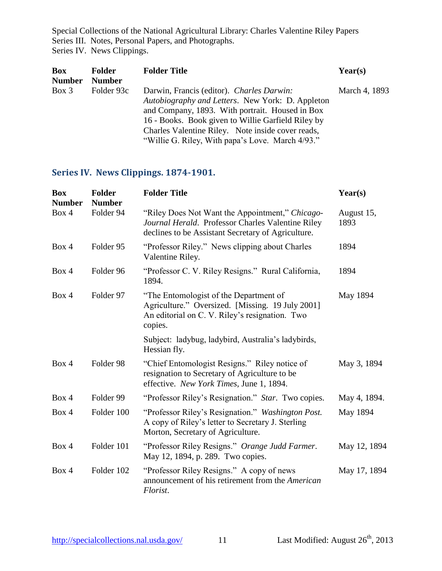Special Collections of the National Agricultural Library: Charles Valentine Riley Papers Series III. Notes, Personal Papers, and Photographs. Series IV. News Clippings.

| Box           | <b>Folder</b> | <b>Folder Title</b>                                                                                                                                                                                                                                         | Year(s)       |
|---------------|---------------|-------------------------------------------------------------------------------------------------------------------------------------------------------------------------------------------------------------------------------------------------------------|---------------|
| <b>Number</b> | <b>Number</b> |                                                                                                                                                                                                                                                             |               |
| $Box\ 3$      | Folder 93c    | Darwin, Francis (editor). Charles Darwin:<br>Autobiography and Letters. New York: D. Appleton<br>and Company, 1893. With portrait. Housed in Box<br>16 - Books. Book given to Willie Garfield Riley by<br>Charles Valentine Riley. Note inside cover reads, | March 4, 1893 |
|               |               | "Willie G. Riley, With papa's Love. March 4/93."                                                                                                                                                                                                            |               |

# <span id="page-11-0"></span>**Series IV. News Clippings. 1874-1901.**

| <b>Box</b><br><b>Number</b> | <b>Folder</b><br><b>Number</b> | <b>Folder Title</b>                                                                                                                                        | Year(s)            |
|-----------------------------|--------------------------------|------------------------------------------------------------------------------------------------------------------------------------------------------------|--------------------|
| Box 4                       | Folder 94                      | "Riley Does Not Want the Appointment," Chicago-<br>Journal Herald. Professor Charles Valentine Riley<br>declines to be Assistant Secretary of Agriculture. | August 15,<br>1893 |
| Box 4                       | Folder 95                      | "Professor Riley." News clipping about Charles<br>Valentine Riley.                                                                                         | 1894               |
| Box 4                       | Folder 96                      | "Professor C. V. Riley Resigns." Rural California,<br>1894.                                                                                                | 1894               |
| Box 4                       | Folder 97                      | "The Entomologist of the Department of<br>Agriculture." Oversized. [Missing. 19 July 2001]<br>An editorial on C. V. Riley's resignation. Two<br>copies.    | May 1894           |
|                             |                                | Subject: ladybug, ladybird, Australia's ladybirds,<br>Hessian fly.                                                                                         |                    |
| Box 4                       | Folder 98                      | "Chief Entomologist Resigns." Riley notice of<br>resignation to Secretary of Agriculture to be<br>effective. New York Times, June 1, 1894.                 | May 3, 1894        |
| Box 4                       | Folder 99                      | "Professor Riley's Resignation." Star. Two copies.                                                                                                         | May 4, 1894.       |
| Box 4                       | Folder 100                     | "Professor Riley's Resignation." Washington Post.<br>A copy of Riley's letter to Secretary J. Sterling<br>Morton, Secretary of Agriculture.                | May 1894           |
| Box 4                       | Folder 101                     | "Professor Riley Resigns." Orange Judd Farmer.<br>May 12, 1894, p. 289. Two copies.                                                                        | May 12, 1894       |
| Box 4                       | Folder 102                     | "Professor Riley Resigns." A copy of news<br>announcement of his retirement from the American<br>Florist.                                                  | May 17, 1894       |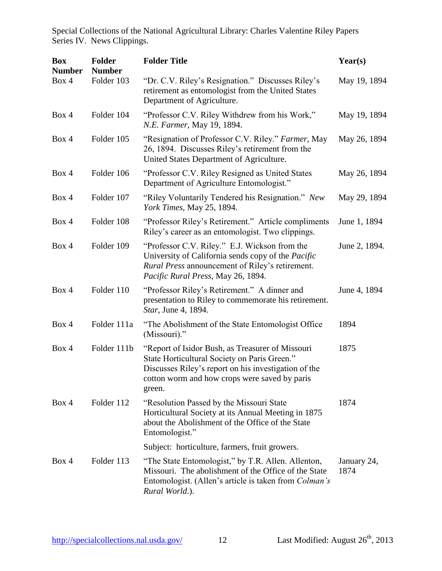| <b>Box</b><br><b>Number</b> | <b>Folder</b><br><b>Number</b> | <b>Folder Title</b>                                                                                                                                                                                                 | Year(s)             |
|-----------------------------|--------------------------------|---------------------------------------------------------------------------------------------------------------------------------------------------------------------------------------------------------------------|---------------------|
| Box 4                       | Folder 103                     | "Dr. C.V. Riley's Resignation." Discusses Riley's<br>retirement as entomologist from the United States<br>Department of Agriculture.                                                                                | May 19, 1894        |
| Box 4                       | Folder 104                     | "Professor C.V. Riley Withdrew from his Work,"<br>N.E. Farmer, May 19, 1894.                                                                                                                                        | May 19, 1894        |
| Box 4                       | Folder 105                     | "Resignation of Professor C.V. Riley." Farmer, May<br>26, 1894. Discusses Riley's retirement from the<br>United States Department of Agriculture.                                                                   | May 26, 1894        |
| Box 4                       | Folder 106                     | "Professor C.V. Riley Resigned as United States"<br>Department of Agriculture Entomologist."                                                                                                                        | May 26, 1894        |
| Box 4                       | Folder 107                     | "Riley Voluntarily Tendered his Resignation." New<br>York Times, May 25, 1894.                                                                                                                                      | May 29, 1894        |
| Box 4                       | Folder 108                     | "Professor Riley's Retirement." Article compliments<br>Riley's career as an entomologist. Two clippings.                                                                                                            | June 1, 1894        |
| Box 4                       | Folder 109                     | "Professor C.V. Riley." E.J. Wickson from the<br>University of California sends copy of the Pacific<br><i>Rural Press</i> announcement of Riley's retirement.<br>Pacific Rural Press, May 26, 1894.                 | June 2, 1894.       |
| Box 4                       | Folder 110                     | "Professor Riley's Retirement." A dinner and<br>presentation to Riley to commemorate his retirement.<br>Star, June 4, 1894.                                                                                         | June 4, 1894        |
| Box 4                       | Folder 111a                    | "The Abolishment of the State Entomologist Office"<br>(Missouri)."                                                                                                                                                  | 1894                |
| Box 4                       | Folder 111b                    | "Report of Isidor Bush, as Treasurer of Missouri<br>State Horticultural Society on Paris Green."<br>Discusses Riley's report on his investigation of the<br>cotton worm and how crops were saved by paris<br>green. | 1875                |
| Box 4                       | Folder 112                     | "Resolution Passed by the Missouri State"<br>Horticultural Society at its Annual Meeting in 1875<br>about the Abolishment of the Office of the State<br>Entomologist."                                              | 1874                |
|                             |                                | Subject: horticulture, farmers, fruit growers.                                                                                                                                                                      |                     |
| Box 4                       | Folder 113                     | "The State Entomologist," by T.R. Allen. Allenton,<br>Missouri. The abolishment of the Office of the State<br>Entomologist. (Allen's article is taken from <i>Colman's</i><br>Rural World.).                        | January 24,<br>1874 |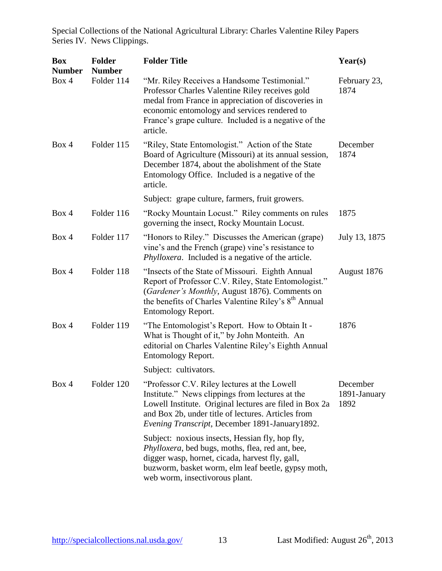| <b>Box</b><br><b>Number</b> | <b>Folder</b><br><b>Number</b> | <b>Folder Title</b>                                                                                                                                                                                                                                                         | Year(s)                          |
|-----------------------------|--------------------------------|-----------------------------------------------------------------------------------------------------------------------------------------------------------------------------------------------------------------------------------------------------------------------------|----------------------------------|
| Box 4                       | Folder 114                     | "Mr. Riley Receives a Handsome Testimonial."<br>Professor Charles Valentine Riley receives gold<br>medal from France in appreciation of discoveries in<br>economic entomology and services rendered to<br>France's grape culture. Included is a negative of the<br>article. | February 23,<br>1874             |
| Box 4                       | Folder 115                     | "Riley, State Entomologist." Action of the State<br>Board of Agriculture (Missouri) at its annual session,<br>December 1874, about the abolishment of the State<br>Entomology Office. Included is a negative of the<br>article.                                             | December<br>1874                 |
|                             |                                | Subject: grape culture, farmers, fruit growers.                                                                                                                                                                                                                             |                                  |
| Box 4                       | Folder 116                     | "Rocky Mountain Locust." Riley comments on rules<br>governing the insect, Rocky Mountain Locust.                                                                                                                                                                            | 1875                             |
| Box 4                       | Folder 117                     | "Honors to Riley." Discusses the American (grape)<br>vine's and the French (grape) vine's resistance to<br><i>Phylloxera.</i> Included is a negative of the article.                                                                                                        | July 13, 1875                    |
| Box 4                       | Folder 118                     | "Insects of the State of Missouri. Eighth Annual<br>Report of Professor C.V. Riley, State Entomologist."<br>(Gardener's Monthly, August 1876). Comments on<br>the benefits of Charles Valentine Riley's 8 <sup>th</sup> Annual<br>Entomology Report.                        | August 1876                      |
| Box 4                       | Folder 119                     | "The Entomologist's Report. How to Obtain It -<br>What is Thought of it," by John Monteith. An<br>editorial on Charles Valentine Riley's Eighth Annual<br>Entomology Report.                                                                                                | 1876                             |
|                             |                                | Subject: cultivators.                                                                                                                                                                                                                                                       |                                  |
| Box 4                       | Folder 120                     | "Professor C.V. Riley lectures at the Lowell"<br>Institute." News clippings from lectures at the<br>Lowell Institute. Original lectures are filed in Box 2a<br>and Box 2b, under title of lectures. Articles from<br>Evening Transcript, December 1891-January1892.         | December<br>1891-January<br>1892 |
|                             |                                | Subject: noxious insects, Hessian fly, hop fly,<br>Phylloxera, bed bugs, moths, flea, red ant, bee,<br>digger wasp, hornet, cicada, harvest fly, gall,<br>buzworm, basket worm, elm leaf beetle, gypsy moth,<br>web worm, insectivorous plant.                              |                                  |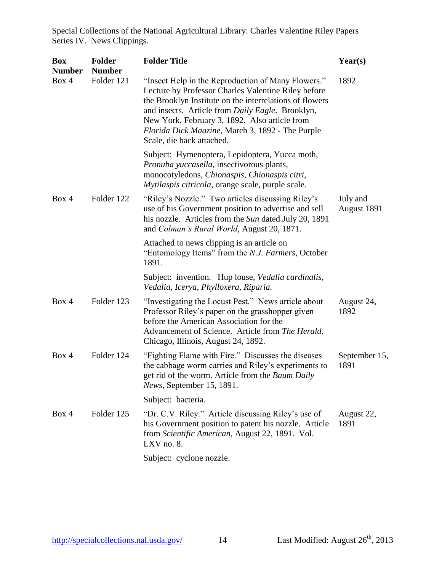| <b>Box</b><br><b>Number</b> | <b>Folder</b><br><b>Number</b> | <b>Folder Title</b>                                                                                                                                                                                                                                                                                                                                        | Year(s)                 |
|-----------------------------|--------------------------------|------------------------------------------------------------------------------------------------------------------------------------------------------------------------------------------------------------------------------------------------------------------------------------------------------------------------------------------------------------|-------------------------|
| Box 4                       | Folder 121                     | "Insect Help in the Reproduction of Many Flowers."<br>Lecture by Professor Charles Valentine Riley before<br>the Brooklyn Institute on the interrelations of flowers<br>and insects. Article from Daily Eagle. Brooklyn,<br>New York, February 3, 1892. Also article from<br>Florida Dick Maazine, March 3, 1892 - The Purple<br>Scale, die back attached. | 1892                    |
|                             |                                | Subject: Hymenoptera, Lepidoptera, Yucca moth,<br>Pronuba yuccasella, insectivorous plants,<br>monocotyledons, Chionaspis, Chionaspis citri,<br>Mytilaspis citricola, orange scale, purple scale.                                                                                                                                                          |                         |
| Box 4                       | Folder 122                     | "Riley's Nozzle." Two articles discussing Riley's<br>use of his Government position to advertise and sell<br>his nozzle. Articles from the Sun dated July 20, 1891<br>and Colman's Rural World, August 20, 1871.                                                                                                                                           | July and<br>August 1891 |
|                             |                                | Attached to news clipping is an article on<br>"Entomology Items" from the N.J. Farmers, October<br>1891.                                                                                                                                                                                                                                                   |                         |
|                             |                                | Subject: invention. Hup louse, <i>Vedalia cardinalis</i> ,<br>Vedalia, Icerya, Phylloxera, Riparia.                                                                                                                                                                                                                                                        |                         |
| Box 4                       | Folder 123                     | "Investigating the Locust Pest." News article about<br>Professor Riley's paper on the grasshopper given<br>before the American Association for the<br>Advancement of Science. Article from The Herald.<br>Chicago, Illinois, August 24, 1892.                                                                                                              | August 24,<br>1892      |
| Box 4                       | Folder 124                     | "Fighting Flame with Fire." Discusses the diseases<br>the cabbage worm carries and Riley's experiments to<br>get rid of the worm. Article from the Baum Daily<br>News, September 15, 1891.                                                                                                                                                                 | September 15,<br>1891   |
|                             |                                | Subject: bacteria.                                                                                                                                                                                                                                                                                                                                         |                         |
| Box 4                       | Folder 125                     | "Dr. C.V. Riley." Article discussing Riley's use of<br>his Government position to patent his nozzle. Article<br>from Scientific American, August 22, 1891. Vol.<br>LXV no. 8.                                                                                                                                                                              | August 22,<br>1891      |
|                             |                                | Subject: cyclone nozzle.                                                                                                                                                                                                                                                                                                                                   |                         |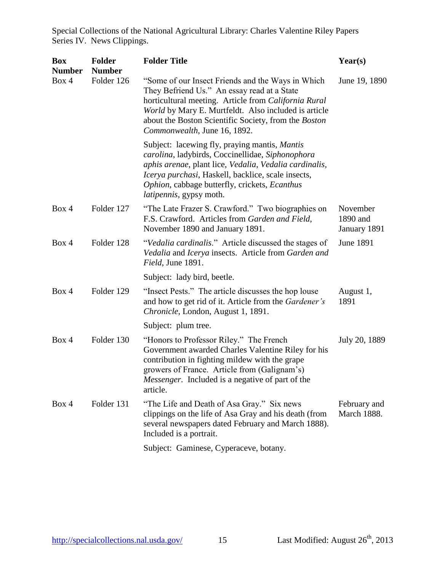| <b>Box</b><br><b>Number</b> | <b>Folder</b><br><b>Number</b> | <b>Folder Title</b>                                                                                                                                                                                                                                                                                          | Year(s)                              |
|-----------------------------|--------------------------------|--------------------------------------------------------------------------------------------------------------------------------------------------------------------------------------------------------------------------------------------------------------------------------------------------------------|--------------------------------------|
| Box 4                       | Folder 126                     | "Some of our Insect Friends and the Ways in Which<br>They Befriend Us." An essay read at a State<br>horticultural meeting. Article from California Rural<br>World by Mary E. Murtfeldt. Also included is article<br>about the Boston Scientific Society, from the Boston<br>Commonwealth, June 16, 1892.     | June 19, 1890                        |
|                             |                                | Subject: lacewing fly, praying mantis, <i>Mantis</i><br>carolina, ladybirds, Coccinellidae, Siphonophora<br>aphis arenae, plant lice, Vedalia, Vedalia cardinalis,<br>Icerya purchasi, Haskell, backlice, scale insects,<br>Ophion, cabbage butterfly, crickets, Ecanthus<br><i>latipennis</i> , gypsy moth. |                                      |
| Box 4                       | Folder 127                     | "The Late Frazer S. Crawford." Two biographies on<br>F.S. Crawford. Articles from Garden and Field,<br>November 1890 and January 1891.                                                                                                                                                                       | November<br>1890 and<br>January 1891 |
| Box 4                       | Folder 128                     | "Vedalia cardinalis." Article discussed the stages of<br>Vedalia and Icerya insects. Article from Garden and<br>Field, June 1891.                                                                                                                                                                            | June 1891                            |
|                             |                                | Subject: lady bird, beetle.                                                                                                                                                                                                                                                                                  |                                      |
| Box 4                       | Folder 129                     | "Insect Pests." The article discusses the hop louse<br>and how to get rid of it. Article from the Gardener's<br>Chronicle, London, August 1, 1891.                                                                                                                                                           | August 1,<br>1891                    |
|                             |                                | Subject: plum tree.                                                                                                                                                                                                                                                                                          |                                      |
| Box 4                       | Folder 130                     | "Honors to Professor Riley." The French<br>Government awarded Charles Valentine Riley for his<br>contribution in fighting mildew with the grape<br>growers of France. Article from (Galignam's)<br><i>Messenger.</i> Included is a negative of part of the<br>article.                                       | July 20, 1889                        |
| Box 4                       | Folder 131                     | "The Life and Death of Asa Gray." Six news<br>clippings on the life of Asa Gray and his death (from<br>several newspapers dated February and March 1888).<br>Included is a portrait.                                                                                                                         | February and<br><b>March 1888.</b>   |
|                             |                                | Subject: Gaminese, Cyperaceve, botany.                                                                                                                                                                                                                                                                       |                                      |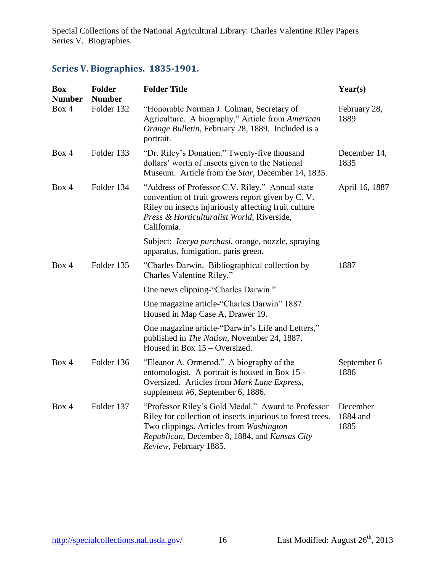# <span id="page-16-0"></span>**Series V. Biographies. 1835-1901.**

| <b>Box</b><br><b>Number</b> | <b>Folder</b><br><b>Number</b> | <b>Folder Title</b>                                                                                                                                                                                                                    | Year(s)                      |
|-----------------------------|--------------------------------|----------------------------------------------------------------------------------------------------------------------------------------------------------------------------------------------------------------------------------------|------------------------------|
| Box 4                       | Folder 132                     | "Honorable Norman J. Colman, Secretary of<br>Agriculture. A biography," Article from American<br>Orange Bulletin, February 28, 1889. Included is a<br>portrait.                                                                        | February 28,<br>1889         |
| Box 4                       | Folder 133                     | "Dr. Riley's Donation." Twenty-five thousand<br>dollars' worth of insects given to the National<br>Museum. Article from the Star, December 14, 1835.                                                                                   | December 14,<br>1835         |
| Box 4                       | Folder 134                     | "Address of Professor C.V. Riley." Annual state<br>convention of fruit growers report given by C.V.<br>Riley on insects injuriously affecting fruit culture<br>Press & Horticulturalist World, Riverside,<br>California.               | April 16, 1887               |
|                             |                                | Subject: <i>Icerya purchasi</i> , orange, nozzle, spraying<br>apparatus, fumigation, paris green.                                                                                                                                      |                              |
| Box 4                       | Folder 135                     | "Charles Darwin. Bibliographical collection by<br>Charles Valentine Riley."                                                                                                                                                            | 1887                         |
|                             |                                | One news clipping-"Charles Darwin."                                                                                                                                                                                                    |                              |
|                             |                                | One magazine article-"Charles Darwin" 1887.<br>Housed in Map Case A, Drawer 19.                                                                                                                                                        |                              |
|                             |                                | One magazine article-"Darwin's Life and Letters,"<br>published in The Nation, November 24, 1887.<br>Housed in Box $15 -$ Oversized.                                                                                                    |                              |
| Box 4                       | Folder 136                     | "Eleanor A. Ormerod." A biography of the<br>entomologist. A portrait is housed in Box 15 -<br>Oversized. Articles from Mark Lane Express,<br>supplement #6, September 6, 1886.                                                         | September 6<br>1886          |
| Box 4                       | Folder 137                     | "Professor Riley's Gold Medal." Award to Professor<br>Riley for collection of insects injurious to forest trees.<br>Two clippings. Articles from Washington<br>Republican, December 8, 1884, and Kansas City<br>Review, February 1885. | December<br>1884 and<br>1885 |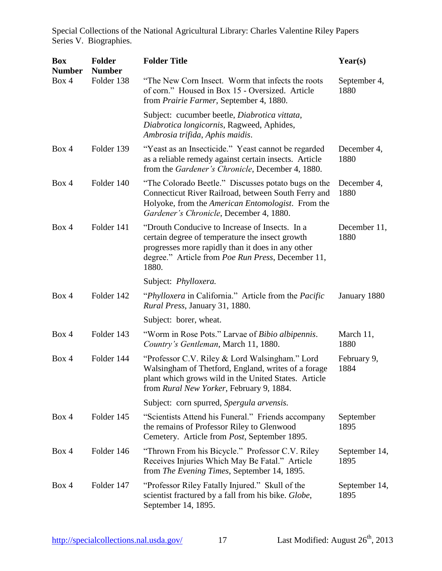| <b>Box</b><br><b>Number</b> | <b>Folder</b><br><b>Number</b> | <b>Folder Title</b>                                                                                                                                                                                                  | Year(s)               |
|-----------------------------|--------------------------------|----------------------------------------------------------------------------------------------------------------------------------------------------------------------------------------------------------------------|-----------------------|
| Box 4                       | Folder 138                     | "The New Corn Insect. Worm that infects the roots<br>of corn." Housed in Box 15 - Oversized. Article<br>from <i>Prairie Farmer</i> , September 4, 1880.                                                              | September 4,<br>1880  |
|                             |                                | Subject: cucumber beetle, Diabrotica vittata,<br>Diabrotica longicornis, Ragweed, Aphides,<br>Ambrosia trifida, Aphis maidis.                                                                                        |                       |
| Box 4                       | Folder 139                     | "Yeast as an Insecticide." Yeast cannot be regarded<br>as a reliable remedy against certain insects. Article<br>from the Gardener's Chronicle, December 4, 1880.                                                     | December 4,<br>1880   |
| Box 4                       | Folder 140                     | "The Colorado Beetle." Discusses potato bugs on the<br>Connecticut River Railroad, between South Ferry and<br>Holyoke, from the American Entomologist. From the<br>Gardener's Chronicle, December 4, 1880.           | December 4,<br>1880   |
| Box 4                       | Folder 141                     | "Drouth Conducive to Increase of Insects. In a<br>certain degree of temperature the insect growth<br>progresses more rapidly than it does in any other<br>degree." Article from Poe Run Press, December 11,<br>1880. | December 11,<br>1880  |
|                             |                                | Subject: Phylloxera.                                                                                                                                                                                                 |                       |
| Box 4                       | Folder 142                     | "Phylloxera in California." Article from the Pacific<br><i>Rural Press, January 31, 1880.</i>                                                                                                                        | January 1880          |
|                             |                                | Subject: borer, wheat.                                                                                                                                                                                               |                       |
| Box 4                       | Folder 143                     | "Worm in Rose Pots." Larvae of <i>Bibio albipennis</i> .<br>Country's Gentleman, March 11, 1880.                                                                                                                     | March 11,<br>1880     |
| Box 4                       | Folder 144                     | "Professor C.V. Riley & Lord Walsingham." Lord<br>Walsingham of Thetford, England, writes of a forage<br>plant which grows wild in the United States. Article<br>from Rural New Yorker, February 9, 1884.            | February 9,<br>1884   |
|                             |                                | Subject: corn spurred, Spergula arvensis.                                                                                                                                                                            |                       |
| Box 4                       | Folder 145                     | "Scientists Attend his Funeral." Friends accompany<br>the remains of Professor Riley to Glenwood<br>Cemetery. Article from <i>Post</i> , September 1895.                                                             | September<br>1895     |
| Box 4                       | Folder 146                     | "Thrown From his Bicycle." Professor C.V. Riley<br>Receives Injuries Which May Be Fatal." Article<br>from The Evening Times, September 14, 1895.                                                                     | September 14,<br>1895 |
| Box 4                       | Folder 147                     | "Professor Riley Fatally Injured." Skull of the<br>scientist fractured by a fall from his bike. Globe,<br>September 14, 1895.                                                                                        | September 14,<br>1895 |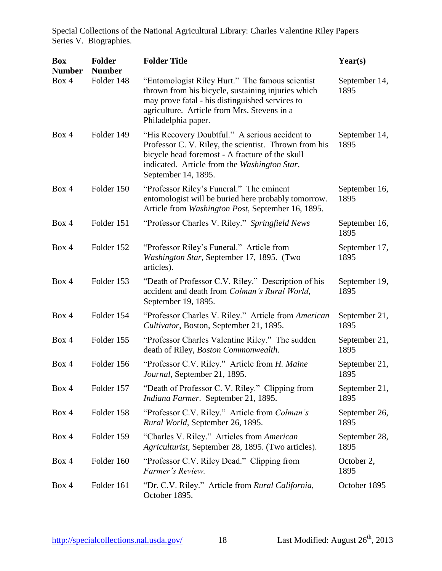| <b>Box</b><br><b>Number</b> | <b>Folder</b><br><b>Number</b> | <b>Folder Title</b>                                                                                                                                                                                                               | Year(s)               |
|-----------------------------|--------------------------------|-----------------------------------------------------------------------------------------------------------------------------------------------------------------------------------------------------------------------------------|-----------------------|
| Box 4                       | Folder 148                     | "Entomologist Riley Hurt." The famous scientist<br>thrown from his bicycle, sustaining injuries which<br>may prove fatal - his distinguished services to<br>agriculture. Article from Mrs. Stevens in a<br>Philadelphia paper.    | September 14,<br>1895 |
| Box 4                       | Folder 149                     | "His Recovery Doubtful." A serious accident to<br>Professor C. V. Riley, the scientist. Thrown from his<br>bicycle head foremost - A fracture of the skull<br>indicated. Article from the Washington Star,<br>September 14, 1895. | September 14,<br>1895 |
| Box 4                       | Folder 150                     | "Professor Riley's Funeral." The eminent<br>entomologist will be buried here probably tomorrow.<br>Article from Washington Post, September 16, 1895.                                                                              | September 16,<br>1895 |
| Box 4                       | Folder 151                     | "Professor Charles V. Riley." Springfield News                                                                                                                                                                                    | September 16,<br>1895 |
| Box 4                       | Folder 152                     | "Professor Riley's Funeral." Article from<br>Washington Star, September 17, 1895. (Two<br>articles).                                                                                                                              | September 17,<br>1895 |
| Box 4                       | Folder 153                     | "Death of Professor C.V. Riley." Description of his<br>accident and death from Colman's Rural World,<br>September 19, 1895.                                                                                                       | September 19,<br>1895 |
| Box 4                       | Folder 154                     | "Professor Charles V. Riley." Article from American<br>Cultivator, Boston, September 21, 1895.                                                                                                                                    | September 21,<br>1895 |
| Box 4                       | Folder 155                     | "Professor Charles Valentine Riley." The sudden<br>death of Riley, <i>Boston Commonwealth</i> .                                                                                                                                   | September 21,<br>1895 |
| Box 4                       | Folder 156                     | "Professor C.V. Riley." Article from H. Maine<br>Journal, September 21, 1895.                                                                                                                                                     | September 21,<br>1895 |
| Box 4                       | Folder 157                     | "Death of Professor C. V. Riley." Clipping from<br>Indiana Farmer. September 21, 1895.                                                                                                                                            | September 21,<br>1895 |
| Box 4                       | Folder 158                     | "Professor C.V. Riley." Article from <i>Colman's</i><br>Rural World, September 26, 1895.                                                                                                                                          | September 26,<br>1895 |
| Box 4                       | Folder 159                     | "Charles V. Riley." Articles from American<br>Agriculturist, September 28, 1895. (Two articles).                                                                                                                                  | September 28,<br>1895 |
| Box 4                       | Folder 160                     | "Professor C.V. Riley Dead." Clipping from<br>Farmer's Review.                                                                                                                                                                    | October 2,<br>1895    |
| Box 4                       | Folder 161                     | "Dr. C.V. Riley." Article from Rural California,<br>October 1895.                                                                                                                                                                 | October 1895          |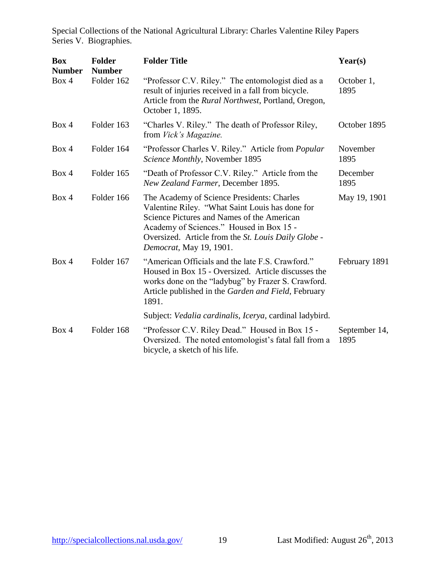| <b>Box</b><br><b>Number</b> | <b>Folder</b><br><b>Number</b> | <b>Folder Title</b>                                                                                                                                                                                                                                                       | Year(s)               |
|-----------------------------|--------------------------------|---------------------------------------------------------------------------------------------------------------------------------------------------------------------------------------------------------------------------------------------------------------------------|-----------------------|
| Box 4                       | Folder 162                     | "Professor C.V. Riley." The entomologist died as a<br>result of injuries received in a fall from bicycle.<br>Article from the Rural Northwest, Portland, Oregon,<br>October 1, 1895.                                                                                      | October 1,<br>1895    |
| Box 4                       | Folder 163                     | "Charles V. Riley." The death of Professor Riley,<br>from <i>Vick's Magazine</i> .                                                                                                                                                                                        | October 1895          |
| Box 4                       | Folder 164                     | "Professor Charles V. Riley." Article from <i>Popular</i><br>Science Monthly, November 1895                                                                                                                                                                               | November<br>1895      |
| Box 4                       | Folder 165                     | "Death of Professor C.V. Riley." Article from the<br>New Zealand Farmer, December 1895.                                                                                                                                                                                   | December<br>1895      |
| Box 4                       | Folder 166                     | The Academy of Science Presidents: Charles<br>Valentine Riley. "What Saint Louis has done for<br>Science Pictures and Names of the American<br>Academy of Sciences." Housed in Box 15 -<br>Oversized. Article from the St. Louis Daily Globe -<br>Democrat, May 19, 1901. | May 19, 1901          |
| Box 4                       | Folder 167                     | "American Officials and the late F.S. Crawford."<br>Housed in Box 15 - Oversized. Article discusses the<br>works done on the "ladybug" by Frazer S. Crawford.<br>Article published in the Garden and Field, February<br>1891.                                             | February 1891         |
|                             |                                | Subject: Vedalia cardinalis, Icerya, cardinal ladybird.                                                                                                                                                                                                                   |                       |
| Box 4                       | Folder 168                     | "Professor C.V. Riley Dead." Housed in Box 15 -<br>Oversized. The noted entomologist's fatal fall from a<br>bicycle, a sketch of his life.                                                                                                                                | September 14,<br>1895 |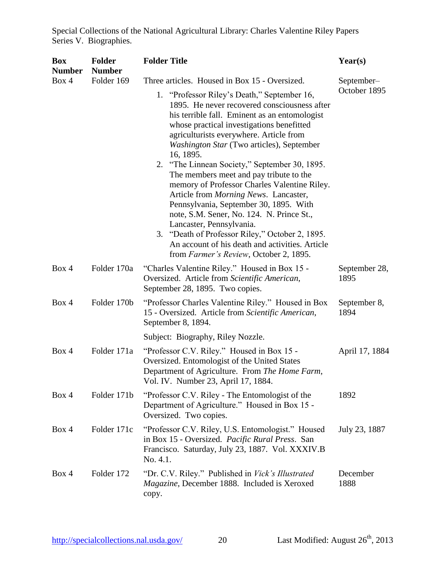| <b>Box</b><br><b>Number</b> | <b>Folder</b><br><b>Number</b> | <b>Folder Title</b>                                                                                                                                                                                                                                                                                                                                                                                         | Year(s)               |
|-----------------------------|--------------------------------|-------------------------------------------------------------------------------------------------------------------------------------------------------------------------------------------------------------------------------------------------------------------------------------------------------------------------------------------------------------------------------------------------------------|-----------------------|
| Box 4                       | Folder 169                     | Three articles. Housed in Box 15 - Oversized.                                                                                                                                                                                                                                                                                                                                                               | September-            |
|                             |                                | 1. "Professor Riley's Death," September 16,<br>1895. He never recovered consciousness after<br>his terrible fall. Eminent as an entomologist<br>whose practical investigations benefitted<br>agriculturists everywhere. Article from<br>Washington Star (Two articles), September<br>16, 1895.<br>2.<br>"The Linnean Society," September 30, 1895.                                                          | October 1895          |
|                             |                                | The members meet and pay tribute to the<br>memory of Professor Charles Valentine Riley.<br>Article from <i>Morning News</i> . Lancaster,<br>Pennsylvania, September 30, 1895. With<br>note, S.M. Sener, No. 124. N. Prince St.,<br>Lancaster, Pennsylvania.<br>3. "Death of Professor Riley," October 2, 1895.<br>An account of his death and activities. Article<br>from Farmer's Review, October 2, 1895. |                       |
| Box 4                       | Folder 170a                    | "Charles Valentine Riley." Housed in Box 15 -<br>Oversized. Article from Scientific American,<br>September 28, 1895. Two copies.                                                                                                                                                                                                                                                                            | September 28,<br>1895 |
| Box 4                       | Folder 170b                    | "Professor Charles Valentine Riley." Housed in Box"<br>15 - Oversized. Article from Scientific American,<br>September 8, 1894.                                                                                                                                                                                                                                                                              | September 8,<br>1894  |
|                             |                                | Subject: Biography, Riley Nozzle.                                                                                                                                                                                                                                                                                                                                                                           |                       |
| Box 4                       | Folder 171a                    | "Professor C.V. Riley." Housed in Box 15 -<br>Oversized. Entomologist of the United States<br>Department of Agriculture. From The Home Farm,<br>Vol. IV. Number 23, April 17, 1884.                                                                                                                                                                                                                         | April 17, 1884        |
| Box 4                       | Folder 171b                    | "Professor C.V. Riley - The Entomologist of the<br>Department of Agriculture." Housed in Box 15 -<br>Oversized. Two copies.                                                                                                                                                                                                                                                                                 | 1892                  |
| Box 4                       | Folder 171c                    | "Professor C.V. Riley, U.S. Entomologist." Housed<br>in Box 15 - Oversized. Pacific Rural Press. San<br>Francisco. Saturday, July 23, 1887. Vol. XXXIV.B<br>No. 4.1.                                                                                                                                                                                                                                        | July 23, 1887         |
| Box 4                       | Folder 172                     | "Dr. C.V. Riley." Published in <i>Vick's Illustrated</i><br>Magazine, December 1888. Included is Xeroxed<br>copy.                                                                                                                                                                                                                                                                                           | December<br>1888      |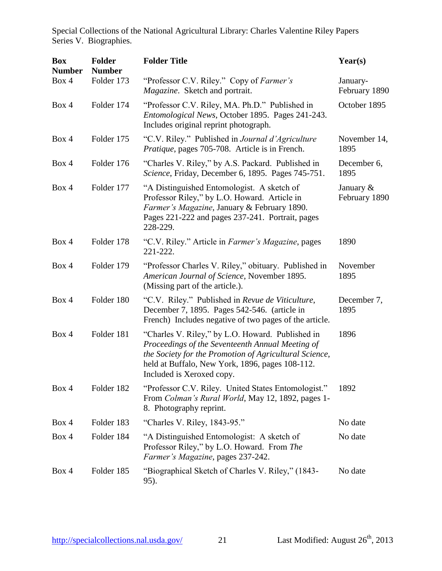| <b>Box</b><br><b>Number</b> | <b>Folder</b><br><b>Number</b> | <b>Folder Title</b>                                                                                                                                                                                                                            | Year(s)                       |
|-----------------------------|--------------------------------|------------------------------------------------------------------------------------------------------------------------------------------------------------------------------------------------------------------------------------------------|-------------------------------|
| Box 4                       | Folder 173                     | "Professor C.V. Riley." Copy of Farmer's<br>Magazine. Sketch and portrait.                                                                                                                                                                     | January-<br>February 1890     |
| Box 4                       | Folder 174                     | "Professor C.V. Riley, MA. Ph.D." Published in<br>Entomological News, October 1895. Pages 241-243.<br>Includes original reprint photograph.                                                                                                    | October 1895                  |
| Box 4                       | Folder 175                     | "C.V. Riley." Published in Journal d'Agriculture<br>Pratique, pages 705-708. Article is in French.                                                                                                                                             | November 14,<br>1895          |
| Box 4                       | Folder 176                     | "Charles V. Riley," by A.S. Packard. Published in<br>Science, Friday, December 6, 1895. Pages 745-751.                                                                                                                                         | December 6,<br>1895           |
| Box 4                       | Folder 177                     | "A Distinguished Entomologist. A sketch of<br>Professor Riley," by L.O. Howard. Article in<br>Farmer's Magazine, January & February 1890.<br>Pages 221-222 and pages 237-241. Portrait, pages<br>228-229.                                      | January $\&$<br>February 1890 |
| Box 4                       | Folder 178                     | "C.V. Riley." Article in <i>Farmer's Magazine</i> , pages<br>221-222.                                                                                                                                                                          | 1890                          |
| Box 4                       | Folder 179                     | "Professor Charles V. Riley," obituary. Published in<br>American Journal of Science, November 1895.<br>(Missing part of the article.).                                                                                                         | November<br>1895              |
| Box 4                       | Folder 180                     | "C.V. Riley." Published in Revue de Viticulture,<br>December 7, 1895. Pages 542-546. (article in<br>French) Includes negative of two pages of the article.                                                                                     | December 7,<br>1895           |
| Box 4                       | Folder 181                     | "Charles V. Riley," by L.O. Howard. Published in<br>Proceedings of the Seventeenth Annual Meeting of<br>the Society for the Promotion of Agricultural Science,<br>held at Buffalo, New York, 1896, pages 108-112.<br>Included is Xeroxed copy. | 1896                          |
| Box 4                       | Folder 182                     | "Professor C.V. Riley. United States Entomologist."<br>From Colman's Rural World, May 12, 1892, pages 1-<br>8. Photography reprint.                                                                                                            | 1892                          |
| Box 4                       | Folder 183                     | "Charles V. Riley, 1843-95."                                                                                                                                                                                                                   | No date                       |
| Box 4                       | Folder 184                     | "A Distinguished Entomologist: A sketch of<br>Professor Riley," by L.O. Howard. From The<br>Farmer's Magazine, pages 237-242.                                                                                                                  | No date                       |
| Box 4                       | Folder 185                     | "Biographical Sketch of Charles V. Riley," (1843-<br>95).                                                                                                                                                                                      | No date                       |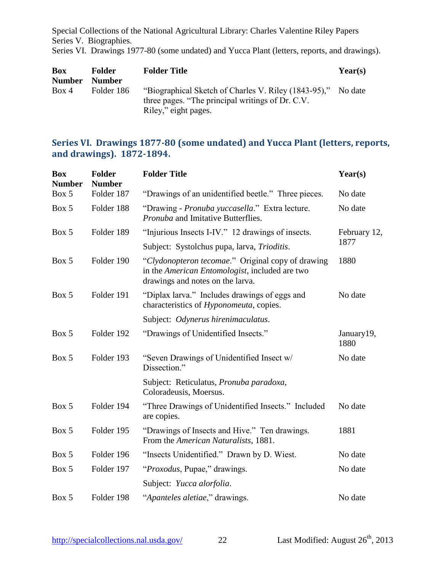Series VI. Drawings 1977-80 (some undated) and Yucca Plant (letters, reports, and drawings).

| <b>Box</b>    | <b>Folder</b> | <b>Folder Title</b>                                                                                              | Year(s) |
|---------------|---------------|------------------------------------------------------------------------------------------------------------------|---------|
| <b>Number</b> | <b>Number</b> |                                                                                                                  |         |
| Box 4         | Folder 186    | "Biographical Sketch of Charles V. Riley (1843-95)," No date<br>three pages. "The principal writings of Dr. C.V. |         |
|               |               | Riley," eight pages.                                                                                             |         |

#### <span id="page-22-0"></span>**Series VI. Drawings 1877-80 (some undated) and Yucca Plant (letters, reports, and drawings). 1872-1894.**

| <b>Box</b><br><b>Number</b> | <b>Folder</b><br><b>Number</b> | <b>Folder Title</b>                                                                                                                     | Year(s)             |
|-----------------------------|--------------------------------|-----------------------------------------------------------------------------------------------------------------------------------------|---------------------|
| Box 5                       | Folder 187                     | "Drawings of an unidentified beetle." Three pieces.                                                                                     | No date             |
| Box 5                       | Folder 188                     | "Drawing - Pronuba yuccasella." Extra lecture.<br><i>Pronuba</i> and Imitative Butterflies.                                             | No date             |
| Box 5                       | Folder 189                     | "Injurious Insects I-IV." 12 drawings of insects.                                                                                       | February 12,        |
|                             |                                | Subject: Systolchus pupa, larva, Trioditis.                                                                                             | 1877                |
| Box 5                       | Folder 190                     | "Clydonopteron tecomae." Original copy of drawing<br>in the American Entomologist, included are two<br>drawings and notes on the larva. | 1880                |
| Box 5                       | Folder 191                     | "Diplax larva." Includes drawings of eggs and<br>characteristics of Hyponomeuta, copies.                                                | No date             |
|                             |                                | Subject: Odynerus hirenimaculatus.                                                                                                      |                     |
| Box 5                       | Folder 192                     | "Drawings of Unidentified Insects."                                                                                                     | January 19,<br>1880 |
| Box 5                       | Folder 193                     | "Seven Drawings of Unidentified Insect w/<br>Dissection."                                                                               | No date             |
|                             |                                | Subject: Reticulatus, Pronuba paradoxa,<br>Coloradeusis, Moersus.                                                                       |                     |
| Box 5                       | Folder 194                     | "Three Drawings of Unidentified Insects." Included<br>are copies.                                                                       | No date             |
| Box 5                       | Folder 195                     | "Drawings of Insects and Hive." Ten drawings.<br>From the American Naturalists, 1881.                                                   | 1881                |
| Box 5                       | Folder 196                     | "Insects Unidentified." Drawn by D. Wiest.                                                                                              | No date             |
| Box 5                       | Folder 197                     | "Proxodus, Pupae," drawings.                                                                                                            | No date             |
|                             |                                | Subject: Yucca alorfolia.                                                                                                               |                     |
| Box 5                       | Folder 198                     | "Apanteles aletiae," drawings.                                                                                                          | No date             |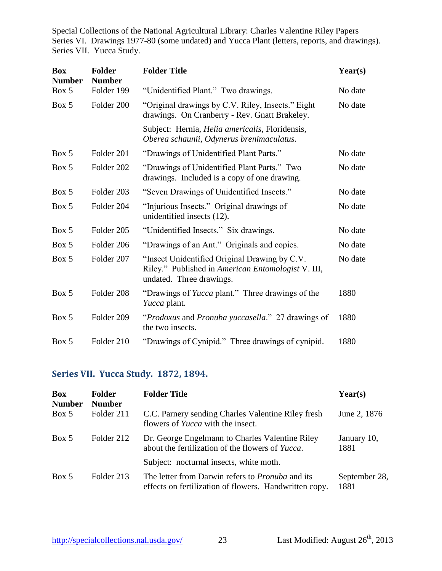Special Collections of the National Agricultural Library: Charles Valentine Riley Papers Series VI. Drawings 1977-80 (some undated) and Yucca Plant (letters, reports, and drawings). Series VII. Yucca Study.

| <b>Box</b><br><b>Number</b> | <b>Folder</b><br><b>Number</b> | <b>Folder Title</b>                                                                                                             | Year(s) |
|-----------------------------|--------------------------------|---------------------------------------------------------------------------------------------------------------------------------|---------|
| Box 5                       | Folder 199                     | "Unidentified Plant." Two drawings.                                                                                             | No date |
| Box 5                       | Folder 200                     | "Original drawings by C.V. Riley, Insects." Eight<br>drawings. On Cranberry - Rev. Gnatt Brakeley.                              | No date |
|                             |                                | Subject: Hernia, <i>Helia americalis</i> , Floridensis,<br>Oberea schaunii, Odynerus brenimaculatus.                            |         |
| Box 5                       | Folder 201                     | "Drawings of Unidentified Plant Parts."                                                                                         | No date |
| Box 5                       | Folder 202                     | "Drawings of Unidentified Plant Parts." Two<br>drawings. Included is a copy of one drawing.                                     | No date |
| Box 5                       | Folder 203                     | "Seven Drawings of Unidentified Insects."                                                                                       | No date |
| Box 5                       | Folder 204                     | "Injurious Insects." Original drawings of<br>unidentified insects (12).                                                         | No date |
| Box 5                       | Folder 205                     | "Unidentified Insects." Six drawings.                                                                                           | No date |
| Box 5                       | Folder 206                     | "Drawings of an Ant." Originals and copies.                                                                                     | No date |
| Box 5                       | Folder 207                     | "Insect Unidentified Original Drawing by C.V.<br>Riley." Published in American Entomologist V. III,<br>undated. Three drawings. | No date |
| Box 5                       | Folder 208                     | "Drawings of <i>Yucca</i> plant." Three drawings of the<br>Yucca plant.                                                         | 1880    |
| Box 5                       | Folder 209                     | "Prodoxus and Pronuba yuccasella." 27 drawings of<br>the two insects.                                                           | 1880    |
| Box 5                       | Folder 210                     | "Drawings of Cynipid." Three drawings of cynipid.                                                                               | 1880    |

#### <span id="page-23-0"></span>**Series VII. Yucca Study. 1872, 1894.**

| <b>Box</b><br><b>Number</b> | <b>Folder</b><br><b>Number</b> | <b>Folder Title</b>                                                                                               | Year(s)               |
|-----------------------------|--------------------------------|-------------------------------------------------------------------------------------------------------------------|-----------------------|
| Box 5                       | Folder 211                     | C.C. Parnery sending Charles Valentine Riley fresh<br>flowers of <i>Yucca</i> with the insect.                    | June 2, 1876          |
| Box 5                       | Folder 212                     | Dr. George Engelmann to Charles Valentine Riley<br>about the fertilization of the flowers of Yucca.               | January 10,<br>1881   |
|                             |                                | Subject: nocturnal insects, white moth.                                                                           |                       |
| Box 5                       | Folder 213                     | The letter from Darwin refers to <i>Pronuba</i> and its<br>effects on fertilization of flowers. Handwritten copy. | September 28,<br>1881 |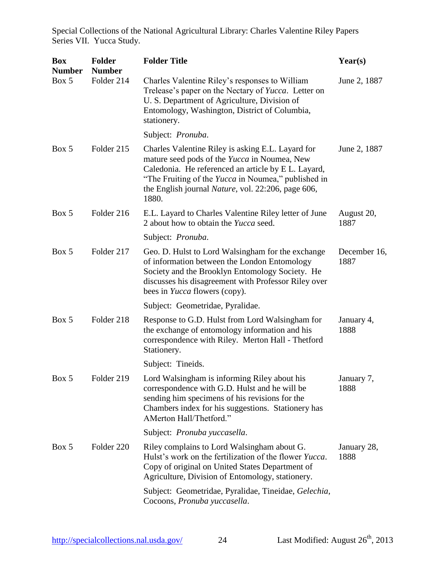| <b>Box</b><br><b>Number</b> | <b>Folder</b><br><b>Number</b> | <b>Folder Title</b>                                                                                                                                                                                                                                                                           | Year(s)              |
|-----------------------------|--------------------------------|-----------------------------------------------------------------------------------------------------------------------------------------------------------------------------------------------------------------------------------------------------------------------------------------------|----------------------|
| Box 5                       | Folder 214                     | Charles Valentine Riley's responses to William<br>Trelease's paper on the Nectary of Yucca. Letter on<br>U. S. Department of Agriculture, Division of<br>Entomology, Washington, District of Columbia,<br>stationery.                                                                         | June 2, 1887         |
|                             |                                | Subject: Pronuba.                                                                                                                                                                                                                                                                             |                      |
| Box 5                       | Folder 215                     | Charles Valentine Riley is asking E.L. Layard for<br>mature seed pods of the Yucca in Noumea, New<br>Caledonia. He referenced an article by E.L. Layard,<br>"The Fruiting of the <i>Yucca</i> in Noumea," published in<br>the English journal <i>Nature</i> , vol. 22:206, page 606,<br>1880. | June 2, 1887         |
| Box 5                       | Folder 216                     | E.L. Layard to Charles Valentine Riley letter of June<br>2 about how to obtain the <i>Yucca</i> seed.                                                                                                                                                                                         | August 20,<br>1887   |
|                             |                                | Subject: Pronuba.                                                                                                                                                                                                                                                                             |                      |
| Box 5                       | Folder 217                     | Geo. D. Hulst to Lord Walsingham for the exchange<br>of information between the London Entomology<br>Society and the Brooklyn Entomology Society. He<br>discusses his disagreement with Professor Riley over<br>bees in <i>Yucca</i> flowers (copy).                                          | December 16,<br>1887 |
|                             |                                | Subject: Geometridae, Pyralidae.                                                                                                                                                                                                                                                              |                      |
| Box 5                       | Folder 218                     | Response to G.D. Hulst from Lord Walsingham for<br>the exchange of entomology information and his<br>correspondence with Riley. Merton Hall - Thetford<br>Stationery.                                                                                                                         | January 4,<br>1888   |
|                             |                                | Subject: Tineids.                                                                                                                                                                                                                                                                             |                      |
| Box 5                       | Folder 219                     | Lord Walsingham is informing Riley about his<br>correspondence with G.D. Hulst and he will be<br>sending him specimens of his revisions for the<br>Chambers index for his suggestions. Stationery has<br>AMerton Hall/Thetford."                                                              | January 7,<br>1888   |
|                             |                                | Subject: Pronuba yuccasella.                                                                                                                                                                                                                                                                  |                      |
| Box 5                       | Folder 220                     | Riley complains to Lord Walsingham about G.<br>Hulst's work on the fertilization of the flower Yucca.<br>Copy of original on United States Department of<br>Agriculture, Division of Entomology, stationery.                                                                                  | January 28,<br>1888  |
|                             |                                | Subject: Geometridae, Pyralidae, Tineidae, Gelechia,<br>Cocoons, Pronuba yuccasella.                                                                                                                                                                                                          |                      |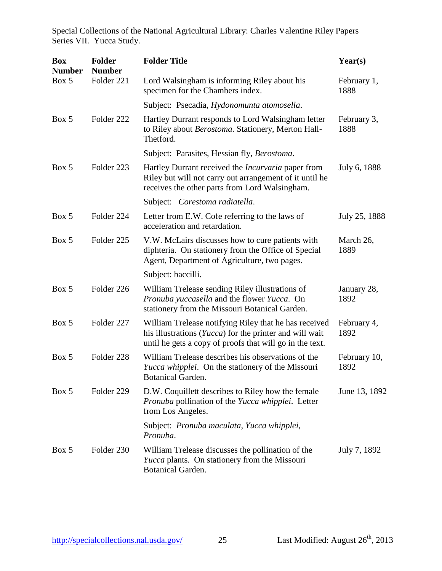| <b>Box</b><br><b>Number</b> | <b>Folder</b><br><b>Number</b> | <b>Folder Title</b>                                                                                                                                                          | Year(s)              |
|-----------------------------|--------------------------------|------------------------------------------------------------------------------------------------------------------------------------------------------------------------------|----------------------|
| Box 5                       | Folder 221                     | Lord Walsingham is informing Riley about his<br>specimen for the Chambers index.                                                                                             | February 1,<br>1888  |
|                             |                                | Subject: Psecadia, Hydonomunta atomosella.                                                                                                                                   |                      |
| Box 5                       | Folder 222                     | Hartley Durrant responds to Lord Walsingham letter<br>to Riley about Berostoma. Stationery, Merton Hall-<br>Thetford.                                                        | February 3,<br>1888  |
|                             |                                | Subject: Parasites, Hessian fly, Berostoma.                                                                                                                                  |                      |
| Box 5                       | Folder 223                     | Hartley Durrant received the <i>Incurvaria</i> paper from<br>Riley but will not carry out arrangement of it until he<br>receives the other parts from Lord Walsingham.       | July 6, 1888         |
|                             |                                | Subject: Corestoma radiatella.                                                                                                                                               |                      |
| Box 5                       | Folder 224                     | Letter from E.W. Cofe referring to the laws of<br>acceleration and retardation.                                                                                              | July 25, 1888        |
| Box 5                       | Folder 225                     | V.W. McLairs discusses how to cure patients with<br>diphteria. On stationery from the Office of Special<br>Agent, Department of Agriculture, two pages.                      | March 26,<br>1889    |
|                             |                                | Subject: baccilli.                                                                                                                                                           |                      |
| Box 5                       | Folder 226                     | William Trelease sending Riley illustrations of<br>Pronuba yuccasella and the flower Yucca. On<br>stationery from the Missouri Botanical Garden.                             | January 28,<br>1892  |
| Box 5                       | Folder 227                     | William Trelease notifying Riley that he has received<br>his illustrations (Yucca) for the printer and will wait<br>until he gets a copy of proofs that will go in the text. | February 4,<br>1892  |
| Box 5                       | Folder 228                     | William Trelease describes his observations of the<br>Yucca whipplei. On the stationery of the Missouri<br><b>Botanical Garden.</b>                                          | February 10,<br>1892 |
| Box 5                       | Folder 229                     | D.W. Coquillett describes to Riley how the female<br>Pronuba pollination of the Yucca whipplei. Letter<br>from Los Angeles.                                                  | June 13, 1892        |
|                             |                                | Subject: Pronuba maculata, Yucca whipplei,<br>Pronuba.                                                                                                                       |                      |
| Box 5                       | Folder 230                     | William Trelease discusses the pollination of the<br>Yucca plants. On stationery from the Missouri<br><b>Botanical Garden.</b>                                               | July 7, 1892         |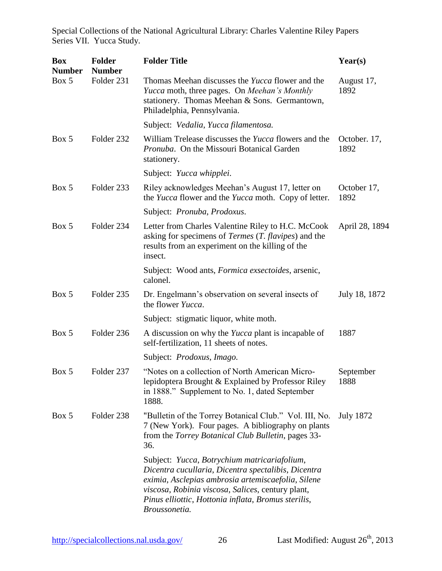| <b>Box</b><br><b>Number</b> | <b>Folder</b><br><b>Number</b> | <b>Folder Title</b>                                                                                                                                                                                                                                                                    | Year(s)              |
|-----------------------------|--------------------------------|----------------------------------------------------------------------------------------------------------------------------------------------------------------------------------------------------------------------------------------------------------------------------------------|----------------------|
| Box 5                       | Folder 231                     | Thomas Meehan discusses the Yucca flower and the<br>Yucca moth, three pages. On Meehan's Monthly<br>stationery. Thomas Meehan & Sons. Germantown,<br>Philadelphia, Pennsylvania.                                                                                                       | August 17,<br>1892   |
|                             |                                | Subject: Vedalia, Yucca filamentosa.                                                                                                                                                                                                                                                   |                      |
| Box 5                       | Folder 232                     | William Trelease discusses the <i>Yucca</i> flowers and the<br>Pronuba. On the Missouri Botanical Garden<br>stationery.                                                                                                                                                                | October. 17,<br>1892 |
|                             |                                | Subject: Yucca whipplei.                                                                                                                                                                                                                                                               |                      |
| Box 5                       | Folder 233                     | Riley acknowledges Meehan's August 17, letter on<br>the Yucca flower and the Yucca moth. Copy of letter.                                                                                                                                                                               | October 17,<br>1892  |
|                             |                                | Subject: Pronuba, Prodoxus.                                                                                                                                                                                                                                                            |                      |
| Box 5                       | Folder 234                     | Letter from Charles Valentine Riley to H.C. McCook<br>asking for specimens of <i>Termes</i> $(T, \text{flavipes})$ and the<br>results from an experiment on the killing of the<br>insect.                                                                                              | April 28, 1894       |
|                             |                                | Subject: Wood ants, <i>Formica exsectoides</i> , arsenic,<br>calonel.                                                                                                                                                                                                                  |                      |
| Box 5                       | Folder 235                     | Dr. Engelmann's observation on several insects of<br>the flower <i>Yucca</i> .                                                                                                                                                                                                         | July 18, 1872        |
|                             |                                | Subject: stigmatic liquor, white moth.                                                                                                                                                                                                                                                 |                      |
| Box 5                       | Folder 236                     | A discussion on why the <i>Yucca</i> plant is incapable of<br>self-fertilization, 11 sheets of notes.                                                                                                                                                                                  | 1887                 |
|                             |                                | Subject: Prodoxus, Imago.                                                                                                                                                                                                                                                              |                      |
| Box 5                       | Folder 237                     | "Notes on a collection of North American Micro-<br>lepidoptera Brought & Explained by Professor Riley<br>in 1888." Supplement to No. 1, dated September<br>1888.                                                                                                                       | September<br>1888    |
| Box 5                       | Folder 238                     | "Bulletin of the Torrey Botanical Club." Vol. III, No.<br>7 (New York). Four pages. A bibliography on plants<br>from the Torrey Botanical Club Bulletin, pages 33-<br>36.                                                                                                              | <b>July 1872</b>     |
|                             |                                | Subject: Yucca, Botrychium matricariafolium,<br>Dicentra cucullaria, Dicentra spectalibis, Dicentra<br>eximia, Asclepias ambrosia artemiscaefolia, Silene<br>viscosa, Robinia viscosa, Salices, century plant,<br>Pinus elliottic, Hottonia inflata, Bromus sterilis,<br>Broussonetia. |                      |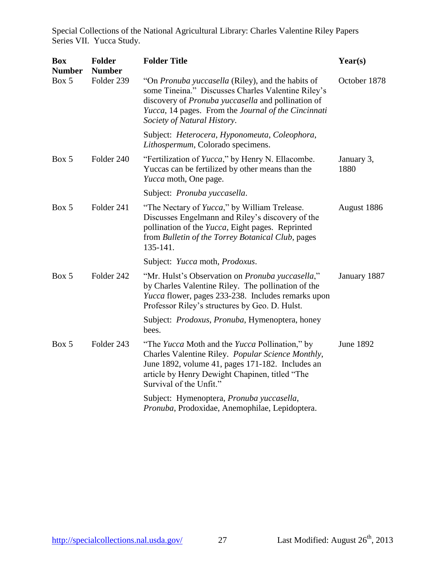| <b>Box</b><br><b>Number</b> | <b>Folder</b><br><b>Number</b> | <b>Folder Title</b>                                                                                                                                                                                                                                        | Year(s)            |
|-----------------------------|--------------------------------|------------------------------------------------------------------------------------------------------------------------------------------------------------------------------------------------------------------------------------------------------------|--------------------|
| Box 5                       | Folder 239                     | "On <i>Pronuba yuccasella</i> (Riley), and the habits of<br>some Tineina." Discusses Charles Valentine Riley's<br>discovery of Pronuba yuccasella and pollination of<br>Yucca, 14 pages. From the Journal of the Cincinnati<br>Society of Natural History. | October 1878       |
|                             |                                | Subject: Heterocera, Hyponomeuta, Coleophora,<br>Lithospermum, Colorado specimens.                                                                                                                                                                         |                    |
| Box 5                       | Folder 240                     | "Fertilization of <i>Yucca</i> ," by Henry N. Ellacombe.<br>Yuccas can be fertilized by other means than the<br><i>Yucca</i> moth, One page.                                                                                                               | January 3,<br>1880 |
|                             |                                | Subject: Pronuba yuccasella.                                                                                                                                                                                                                               |                    |
| Box 5                       | Folder 241                     | "The Nectary of <i>Yucca</i> ," by William Trelease.<br>Discusses Engelmann and Riley's discovery of the<br>pollination of the Yucca, Eight pages. Reprinted<br>from Bulletin of the Torrey Botanical Club, pages<br>135-141.                              | August 1886        |
|                             |                                | Subject: Yucca moth, Prodoxus.                                                                                                                                                                                                                             |                    |
| Box 5                       | Folder 242                     | "Mr. Hulst's Observation on Pronuba yuccasella,"<br>by Charles Valentine Riley. The pollination of the<br><i>Yucca</i> flower, pages 233-238. Includes remarks upon<br>Professor Riley's structures by Geo. D. Hulst.                                      | January 1887       |
|                             |                                | Subject: <i>Prodoxus</i> , <i>Pronuba</i> , Hymenoptera, honey<br>bees.                                                                                                                                                                                    |                    |
| Box 5                       | Folder 243                     | "The Yucca Moth and the Yucca Pollination," by<br>Charles Valentine Riley. Popular Science Monthly,<br>June 1892, volume 41, pages 171-182. Includes an<br>article by Henry Dewight Chapinen, titled "The<br>Survival of the Unfit."                       | <b>June 1892</b>   |
|                             |                                | Subject: Hymenoptera, Pronuba yuccasella,<br>Pronuba, Prodoxidae, Anemophilae, Lepidoptera.                                                                                                                                                                |                    |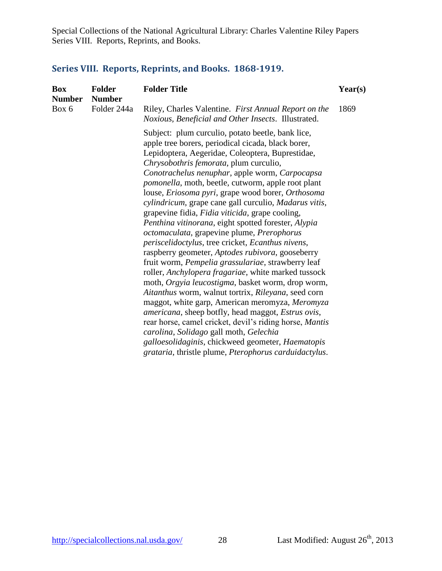# <span id="page-28-0"></span>**Series VIII. Reports, Reprints, and Books. 1868-1919.**

| <b>Box</b><br><b>Number</b> | <b>Folder</b><br><b>Number</b> | <b>Folder Title</b>                                                                                                                                                                                                                                                                                                                                                                                                                                                                                                                                                                                                                                                                                                                                                                                                                                                                                                                                                                                                                                                                                                                                                                                                                               | Year(s) |
|-----------------------------|--------------------------------|---------------------------------------------------------------------------------------------------------------------------------------------------------------------------------------------------------------------------------------------------------------------------------------------------------------------------------------------------------------------------------------------------------------------------------------------------------------------------------------------------------------------------------------------------------------------------------------------------------------------------------------------------------------------------------------------------------------------------------------------------------------------------------------------------------------------------------------------------------------------------------------------------------------------------------------------------------------------------------------------------------------------------------------------------------------------------------------------------------------------------------------------------------------------------------------------------------------------------------------------------|---------|
| Box 6                       | Folder 244a                    | Riley, Charles Valentine. First Annual Report on the<br>Noxious, Beneficial and Other Insects. Illustrated.                                                                                                                                                                                                                                                                                                                                                                                                                                                                                                                                                                                                                                                                                                                                                                                                                                                                                                                                                                                                                                                                                                                                       | 1869    |
|                             |                                | Subject: plum curculio, potato beetle, bank lice,<br>apple tree borers, periodical cicada, black borer,<br>Lepidoptera, Aegeridae, Coleoptera, Buprestidae,<br>Chrysobothris femorata, plum curculio,<br>Conotrachelus nenuphar, apple worm, Carpocapsa<br>pomonella, moth, beetle, cutworm, apple root plant<br>louse, Eriosoma pyri, grape wood borer, Orthosoma<br>cylindricum, grape cane gall curculio, Madarus vitis,<br>grapevine fidia, Fidia viticida, grape cooling,<br>Penthina vitinorana, eight spotted forester, Alypia<br>octomaculata, grapevine plume, Prerophorus<br>periscelidoctylus, tree cricket, Ecanthus nivens,<br>raspberry geometer, Aptodes rubivora, gooseberry<br>fruit worm, Pempelia grassulariae, strawberry leaf<br>roller, Anchylopera fragariae, white marked tussock<br>moth, Orgyia leucostigma, basket worm, drop worm,<br>Aitanthus worm, walnut tortrix, Rileyana, seed corn<br>maggot, white garp, American meromyza, Meromyza<br>americana, sheep botfly, head maggot, Estrus ovis,<br>rear horse, camel cricket, devil's riding horse, Mantis<br>carolina, Solidago gall moth, Gelechia<br>galloesolidaginis, chickweed geometer, Haematopis<br>grataria, thristle plume, Pterophorus carduidactylus. |         |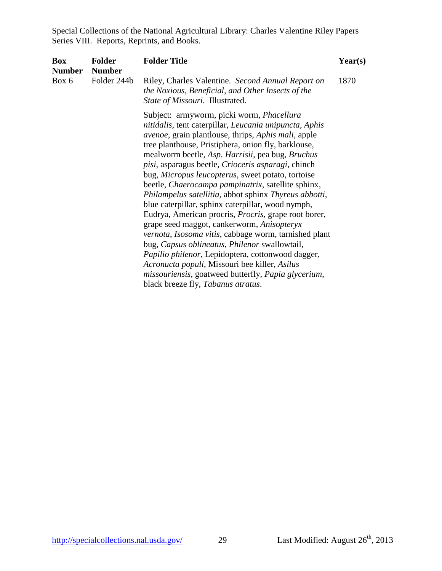| <b>Box</b><br><b>Number</b> | <b>Folder</b><br><b>Number</b> | <b>Folder Title</b>                                                                                                                                                                                                                                                                                                                                                                                                                                                                                                                                                                                                                                                                                                                                                                                                                                                                                                                                                                             | $\text{Year}(s)$ |
|-----------------------------|--------------------------------|-------------------------------------------------------------------------------------------------------------------------------------------------------------------------------------------------------------------------------------------------------------------------------------------------------------------------------------------------------------------------------------------------------------------------------------------------------------------------------------------------------------------------------------------------------------------------------------------------------------------------------------------------------------------------------------------------------------------------------------------------------------------------------------------------------------------------------------------------------------------------------------------------------------------------------------------------------------------------------------------------|------------------|
| Box 6                       | Folder 244b                    | Riley, Charles Valentine. Second Annual Report on<br>the Noxious, Beneficial, and Other Insects of the<br>State of Missouri. Illustrated.                                                                                                                                                                                                                                                                                                                                                                                                                                                                                                                                                                                                                                                                                                                                                                                                                                                       | 1870             |
|                             |                                | Subject: armyworm, picki worm, Phacellura<br>nitidalis, tent caterpillar, Leucania unipuncta, Aphis<br><i>avenoe</i> , grain plantlouse, thrips, <i>Aphis mali</i> , apple<br>tree planthouse, Pristiphera, onion fly, barklouse,<br>mealworm beetle, Asp. Harrisii, pea bug, Bruchus<br>pisi, asparagus beetle, Crioceris asparagi, chinch<br>bug, Micropus leucopterus, sweet potato, tortoise<br>beetle, Chaerocampa pampinatrix, satellite sphinx,<br>Philampelus satellitia, abbot sphinx Thyreus abbotti,<br>blue caterpillar, sphinx caterpillar, wood nymph,<br>Eudrya, American procris, <i>Procris</i> , grape root borer,<br>grape seed maggot, cankerworm, Anisopteryx<br>vernota, Isosoma vitis, cabbage worm, tarnished plant<br>bug, Capsus oblineatus, Philenor swallowtail,<br>Papilio philenor, Lepidoptera, cottonwood dagger,<br>Acronucta populi, Missouri bee killer, Asilus<br>missouriensis, goatweed butterfly, Papia glycerium,<br>black breeze fly, Tabanus atratus. |                  |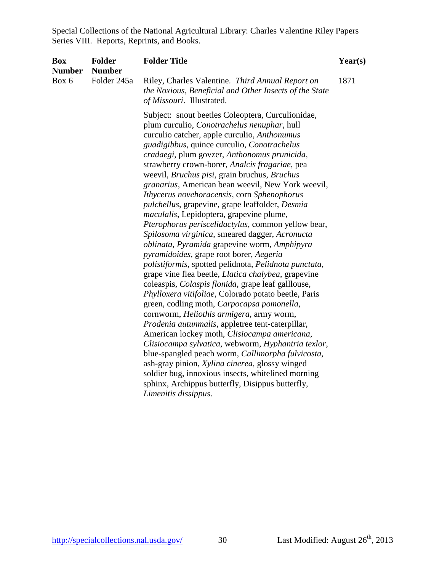| <b>Box</b><br><b>Number</b> | <b>Folder</b><br><b>Number</b> | <b>Folder Title</b>                                                                                                                                                                                                                                                                                                                                                                                                                                                                                                                                                                                                                                                                                                                                                                                                                                                                                                                                                                                                                                                                                                                                                                                                                                                                                                                                                                                                                                                                                               | Year(s) |
|-----------------------------|--------------------------------|-------------------------------------------------------------------------------------------------------------------------------------------------------------------------------------------------------------------------------------------------------------------------------------------------------------------------------------------------------------------------------------------------------------------------------------------------------------------------------------------------------------------------------------------------------------------------------------------------------------------------------------------------------------------------------------------------------------------------------------------------------------------------------------------------------------------------------------------------------------------------------------------------------------------------------------------------------------------------------------------------------------------------------------------------------------------------------------------------------------------------------------------------------------------------------------------------------------------------------------------------------------------------------------------------------------------------------------------------------------------------------------------------------------------------------------------------------------------------------------------------------------------|---------|
| Box 6                       | Folder 245a                    | Riley, Charles Valentine. Third Annual Report on<br>the Noxious, Beneficial and Other Insects of the State<br>of Missouri. Illustrated.                                                                                                                                                                                                                                                                                                                                                                                                                                                                                                                                                                                                                                                                                                                                                                                                                                                                                                                                                                                                                                                                                                                                                                                                                                                                                                                                                                           | 1871    |
|                             |                                | Subject: snout beetles Coleoptera, Curculionidae,<br>plum curculio, Conotrachelus nenuphar, hull<br>curculio catcher, apple curculio, Anthonumus<br>guadigibbus, quince curculio, Conotrachelus<br>cradaegi, plum govzer, Anthonomus prunicida,<br>strawberry crown-borer, Analcis fragariae, pea<br>weevil, <i>Bruchus pisi</i> , grain bruchus, <i>Bruchus</i><br>granarius, American bean weevil, New York weevil,<br>Ithycerus novehoracensis, corn Sphenophorus<br>pulchellus, grapevine, grape leaffolder, Desmia<br><i>maculalis</i> , Lepidoptera, grapevine plume,<br>Pterophorus periscelidactylus, common yellow bear,<br>Spilosoma virginica, smeared dagger, Acronucta<br>oblinata, Pyramida grapevine worm, Amphipyra<br>pyramidoides, grape root borer, Aegeria<br>polistiformis, spotted pelidnota, Pelidnota punctata,<br>grape vine flea beetle, Llatica chalybea, grapevine<br>coleaspis, <i>Colaspis flonida</i> , grape leaf galllouse,<br>Phylloxera vitifoliae, Colorado potato beetle, Paris<br>green, codling moth, Carpocapsa pomonella,<br>cornworm, Heliothis armigera, army worm,<br>Prodenia autunmalis, appletree tent-caterpillar,<br>American lockey moth, Clisiocampa americana,<br>Clisiocampa sylvatica, webworm, Hyphantria texlor,<br>blue-spangled peach worm, Callimorpha fulvicosta,<br>ash-gray pinion, Xylina cinerea, glossy winged<br>soldier bug, innoxious insects, whitelined morning<br>sphinx, Archippus butterfly, Disippus butterfly,<br>Limenitis dissippus. |         |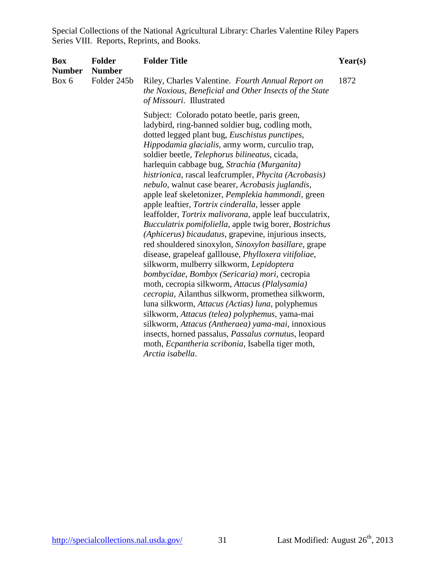| <b>Box</b><br><b>Number</b> | <b>Folder</b><br><b>Number</b> | <b>Folder Title</b>                                                                                                                                                                                                                                                                                                                                                                                                                                                                                                                                                                                                                                                                                                                                                                                                                                                                                                                                                                                                                                                                                                                                                                                                                                                                                                         | Year(s) |
|-----------------------------|--------------------------------|-----------------------------------------------------------------------------------------------------------------------------------------------------------------------------------------------------------------------------------------------------------------------------------------------------------------------------------------------------------------------------------------------------------------------------------------------------------------------------------------------------------------------------------------------------------------------------------------------------------------------------------------------------------------------------------------------------------------------------------------------------------------------------------------------------------------------------------------------------------------------------------------------------------------------------------------------------------------------------------------------------------------------------------------------------------------------------------------------------------------------------------------------------------------------------------------------------------------------------------------------------------------------------------------------------------------------------|---------|
| Box 6                       | Folder 245b                    | Riley, Charles Valentine. Fourth Annual Report on<br>the Noxious, Beneficial and Other Insects of the State<br>of Missouri. Illustrated                                                                                                                                                                                                                                                                                                                                                                                                                                                                                                                                                                                                                                                                                                                                                                                                                                                                                                                                                                                                                                                                                                                                                                                     | 1872    |
|                             |                                | Subject: Colorado potato beetle, paris green,<br>ladybird, ring-banned soldier bug, codling moth,<br>dotted legged plant bug, Euschistus punctipes,<br>Hippodamia glacialis, army worm, curculio trap,<br>soldier beetle, Telephorus bilineatus, cicada,<br>harlequin cabbage bug, Strachia (Murganita)<br>histrionica, rascal leafcrumpler, Phycita (Acrobasis)<br>nebulo, walnut case bearer, Acrobasis juglandis,<br>apple leaf skeletonizer, Pemplekia hammondi, green<br>apple leaftier, Tortrix cinderalla, lesser apple<br>leaffolder, Tortrix malivorana, apple leaf bucculatrix,<br>Bucculatrix pomifoliella, apple twig borer, Bostrichus<br>(Aphicerus) bicaudatus, grapevine, injurious insects,<br>red shouldered sinoxylon, Sinoxylon basillare, grape<br>disease, grapeleaf galllouse, Phylloxera vitifoliae,<br>silkworm, mulberry silkworm, Lepidoptera<br>bombycidae, Bombyx (Sericaria) mori, cecropia<br>moth, cecropia silkworm, Attacus (Plalysamia)<br>cecropia, Ailanthus silkworm, promethea silkworm,<br>luna silkworm, Attacus (Actias) luna, polyphemus<br>silkworm, Attacus (telea) polyphemus, yama-mai<br>silkworm, Attacus (Antheraea) yama-mai, innoxious<br>insects, horned passalus, Passalus cornutus, leopard<br>moth, Ecpantheria scribonia, Isabella tiger moth,<br>Arctia isabella. |         |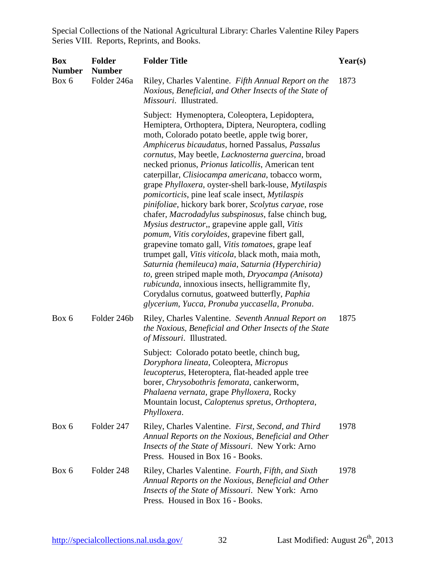| <b>Box</b><br><b>Number</b> | <b>Folder</b><br><b>Number</b> | <b>Folder Title</b>                                                                                                                                                                                                                                                                                                                                                                                                                                                                                                                                                                                                                                                                                                                                                                                                                                                                                                                                                                                                                                                                                                   | Year(s) |
|-----------------------------|--------------------------------|-----------------------------------------------------------------------------------------------------------------------------------------------------------------------------------------------------------------------------------------------------------------------------------------------------------------------------------------------------------------------------------------------------------------------------------------------------------------------------------------------------------------------------------------------------------------------------------------------------------------------------------------------------------------------------------------------------------------------------------------------------------------------------------------------------------------------------------------------------------------------------------------------------------------------------------------------------------------------------------------------------------------------------------------------------------------------------------------------------------------------|---------|
| Box 6                       | Folder 246a                    | Riley, Charles Valentine. Fifth Annual Report on the<br>Noxious, Beneficial, and Other Insects of the State of<br>Missouri. Illustrated.                                                                                                                                                                                                                                                                                                                                                                                                                                                                                                                                                                                                                                                                                                                                                                                                                                                                                                                                                                              | 1873    |
|                             |                                | Subject: Hymenoptera, Coleoptera, Lepidoptera,<br>Hemiptera, Orthoptera, Diptera, Neuroptera, codling<br>moth, Colorado potato beetle, apple twig borer,<br>Amphicerus bicaudatus, horned Passalus, Passalus<br>cornutus, May beetle, Lacknosterna guercina, broad<br>necked prionus, Prionus laticollis, American tent<br>caterpillar, Clisiocampa americana, tobacco worm,<br>grape Phylloxera, oyster-shell bark-louse, Mytilaspis<br><i>pomicorticis</i> , pine leaf scale insect, <i>Mytilaspis</i><br>pinifoliae, hickory bark borer, Scolytus caryae, rose<br>chafer, Macrodadylus subspinosus, false chinch bug,<br>Mysius destructor,, grapevine apple gall, Vitis<br>pomum, Vitis coryloides, grapevine fibert gall,<br>grapevine tomato gall, Vitis tomatoes, grape leaf<br>trumpet gall, Vitis viticola, black moth, maia moth,<br>Saturnia (hemileuca) maia, Saturnia (Hyperchiria)<br>to, green striped maple moth, Dryocampa (Anisota)<br><i>rubicunda</i> , innoxious insects, helligrammite fly,<br>Corydalus cornutus, goatweed butterfly, Paphia<br>glycerium, Yucca, Pronuba yuccasella, Pronuba. |         |
| Box 6                       | Folder 246b                    | Riley, Charles Valentine. Seventh Annual Report on<br>the Noxious, Beneficial and Other Insects of the State<br>of Missouri. Illustrated.                                                                                                                                                                                                                                                                                                                                                                                                                                                                                                                                                                                                                                                                                                                                                                                                                                                                                                                                                                             | 1875    |
|                             |                                | Subject: Colorado potato beetle, chinch bug,<br>Doryphora lineata, Coleoptera, Micropus<br>leucopterus, Heteroptera, flat-headed apple tree<br>borer, Chrysobothris femorata, cankerworm,<br>Phalaena vernata, grape Phylloxera, Rocky<br>Mountain locust, Caloptenus spretus, Orthoptera,<br>Phylloxera.                                                                                                                                                                                                                                                                                                                                                                                                                                                                                                                                                                                                                                                                                                                                                                                                             |         |
| Box 6                       | Folder 247                     | Riley, Charles Valentine. First, Second, and Third<br>Annual Reports on the Noxious, Beneficial and Other<br>Insects of the State of Missouri. New York: Arno<br>Press. Housed in Box 16 - Books.                                                                                                                                                                                                                                                                                                                                                                                                                                                                                                                                                                                                                                                                                                                                                                                                                                                                                                                     | 1978    |
| Box 6                       | Folder 248                     | Riley, Charles Valentine. Fourth, Fifth, and Sixth<br>Annual Reports on the Noxious, Beneficial and Other<br>Insects of the State of Missouri. New York: Arno<br>Press. Housed in Box 16 - Books.                                                                                                                                                                                                                                                                                                                                                                                                                                                                                                                                                                                                                                                                                                                                                                                                                                                                                                                     | 1978    |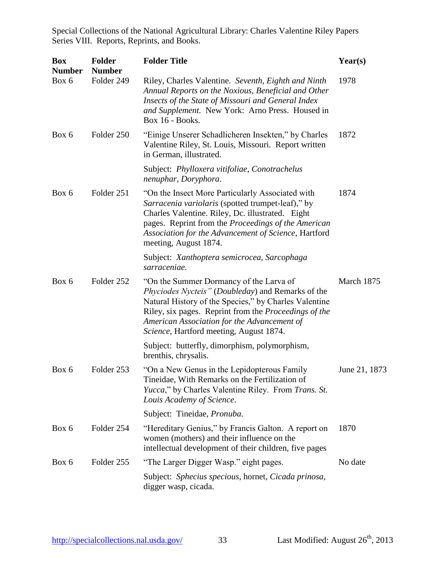| <b>Box</b><br><b>Number</b> | <b>Folder</b><br><b>Number</b> | <b>Folder Title</b>                                                                                                                                                                                                                                                                                      | Year(s)       |
|-----------------------------|--------------------------------|----------------------------------------------------------------------------------------------------------------------------------------------------------------------------------------------------------------------------------------------------------------------------------------------------------|---------------|
| Box 6                       | Folder 249                     | Riley, Charles Valentine. Seventh, Eighth and Ninth<br>Annual Reports on the Noxious, Beneficial and Other<br>Insects of the State of Missouri and General Index<br>and Supplement. New York: Arno Press. Housed in<br>Box 16 - Books.                                                                   | 1978          |
| Box 6                       | Folder 250                     | "Einige Unserer Schadlicheren Insekten," by Charles<br>Valentine Riley, St. Louis, Missouri. Report written<br>in German, illustrated.                                                                                                                                                                   | 1872          |
|                             |                                | Subject: Phylloxera vitifoliae, Conotrachelus<br>nenuphar, Doryphora.                                                                                                                                                                                                                                    |               |
| Box 6                       | Folder 251                     | "On the Insect More Particularly Associated with<br>Sarracenia variolaris (spotted trumpet-leaf)," by<br>Charles Valentine. Riley, Dc. illustrated. Eight<br>pages. Reprint from the Proceedings of the American<br>Association for the Advancement of Science, Hartford<br>meeting, August 1874.        | 1874          |
|                             |                                | Subject: Xanthoptera semicrocea, Sarcophaga<br>sarraceniae.                                                                                                                                                                                                                                              |               |
| Box 6                       | Folder 252                     | "On the Summer Dormancy of the Larva of<br>Phyciodes Nycteis" (Doubleday) and Remarks of the<br>Natural History of the Species," by Charles Valentine<br>Riley, six pages. Reprint from the Proceedings of the<br>American Association for the Advancement of<br>Science, Hartford meeting, August 1874. | March 1875    |
|                             |                                | Subject: butterfly, dimorphism, polymorphism,<br>brenthis, chrysalis.                                                                                                                                                                                                                                    |               |
| Box 6                       | Folder 253                     | "On a New Genus in the Lepidopterous Family"<br>Tineidae, With Remarks on the Fertilization of<br><i>Yucca</i> ," by Charles Valentine Riley. From <i>Trans. St.</i><br>Louis Academy of Science.                                                                                                        | June 21, 1873 |
|                             |                                | Subject: Tineidae, Pronuba.                                                                                                                                                                                                                                                                              |               |
| Box 6                       | Folder 254                     | "Hereditary Genius," by Francis Galton. A report on<br>women (mothers) and their influence on the<br>intellectual development of their children, five pages                                                                                                                                              | 1870          |
| Box 6                       | Folder 255                     | "The Larger Digger Wasp." eight pages.                                                                                                                                                                                                                                                                   | No date       |
|                             |                                | Subject: Sphecius specious, hornet, Cicada prinosa,<br>digger wasp, cicada.                                                                                                                                                                                                                              |               |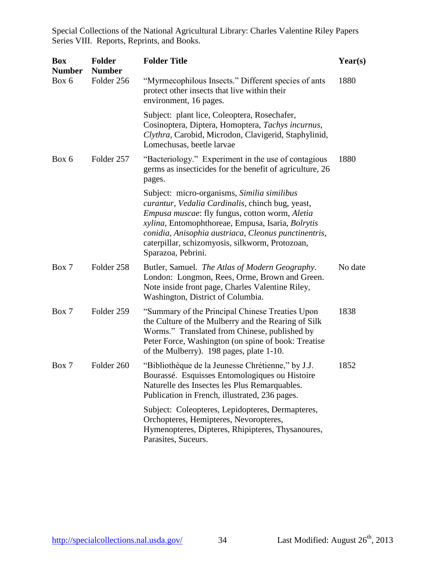| <b>Box</b><br><b>Number</b> | <b>Folder</b><br><b>Number</b> | <b>Folder Title</b>                                                                                                                                                                                                                                                                                                                     | Year(s) |
|-----------------------------|--------------------------------|-----------------------------------------------------------------------------------------------------------------------------------------------------------------------------------------------------------------------------------------------------------------------------------------------------------------------------------------|---------|
| Box 6                       | Folder 256                     | "Myrmecophilous Insects." Different species of ants<br>protect other insects that live within their<br>environment, 16 pages.                                                                                                                                                                                                           | 1880    |
|                             |                                | Subject: plant lice, Coleoptera, Rosechafer,<br>Cosinoptera, Diptera, Homoptera, Tachys incurnus,<br>Clythra, Carobid, Microdon, Clavigerid, Staphylinid,<br>Lomechusas, beetle larvae                                                                                                                                                  |         |
| Box 6                       | Folder 257                     | "Bacteriology." Experiment in the use of contagious<br>germs as insecticides for the benefit of agriculture, 26<br>pages.                                                                                                                                                                                                               | 1880    |
|                             |                                | Subject: micro-organisms, Similia similibus<br>curantur, Vedalia Cardinalis, chinch bug, yeast,<br>Empusa muscae: fly fungus, cotton worm, Aletia<br>xylina, Entomophthoreae, Empusa, Isaria, Bolrytis<br>conidia, Anisophia austriaca, Cleonus punctinentris,<br>caterpillar, schizomyosis, silkworm, Protozoan,<br>Sparazoa, Pebrini. |         |
| Box 7                       | Folder 258                     | Butler, Samuel. The Atlas of Modern Geography.<br>London: Longmon, Rees, Orme, Brown and Green.<br>Note inside front page, Charles Valentine Riley,<br>Washington, District of Columbia.                                                                                                                                                | No date |
| Box 7                       | Folder 259                     | "Summary of the Principal Chinese Treaties Upon<br>the Culture of the Mulberry and the Rearing of Silk<br>Worms." Translated from Chinese, published by<br>Peter Force, Washington (on spine of book: Treatise<br>of the Mulberry). 198 pages, plate 1-10.                                                                              | 1838    |
| Box 7                       | Folder 260                     | "Bibliothèque de la Jeunesse Chrétienne," by J.J.<br>Bourassé. Esquisses Entomologiques ou Histoire<br>Naturelle des Insectes les Plus Remarquables.<br>Publication in French, illustrated, 236 pages.                                                                                                                                  | 1852    |
|                             |                                | Subject: Coleopteres, Lepidopteres, Dermapteres,<br>Orchopteres, Hemipteres, Nevoropteres,<br>Hymenopteres, Dipteres, Rhipipteres, Thysanoures,<br>Parasites, Suceurs.                                                                                                                                                                  |         |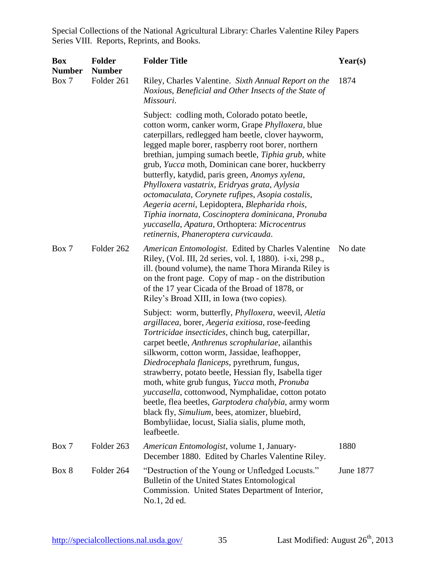| <b>Box</b><br><b>Number</b> | <b>Folder</b><br><b>Number</b> | <b>Folder Title</b>                                                                                                                                                                                                                                                                                                                                                                                                                                                                                                                                                                                                                                                                 | Year(s)   |
|-----------------------------|--------------------------------|-------------------------------------------------------------------------------------------------------------------------------------------------------------------------------------------------------------------------------------------------------------------------------------------------------------------------------------------------------------------------------------------------------------------------------------------------------------------------------------------------------------------------------------------------------------------------------------------------------------------------------------------------------------------------------------|-----------|
| Box 7                       | Folder 261                     | Riley, Charles Valentine. Sixth Annual Report on the<br>Noxious, Beneficial and Other Insects of the State of<br>Missouri.                                                                                                                                                                                                                                                                                                                                                                                                                                                                                                                                                          | 1874      |
|                             |                                | Subject: codling moth, Colorado potato beetle,<br>cotton worm, canker worm, Grape Phylloxera, blue<br>caterpillars, redlegged ham beetle, clover hayworm,<br>legged maple borer, raspberry root borer, northern<br>brethian, jumping sumach beetle, Tiphia grub, white<br>grub, Yucca moth, Dominican cane borer, huckberry<br>butterfly, katydid, paris green, Anomys xylena,<br>Phylloxera vastatrix, Eridryas grata, Aylysia<br>octomaculata, Corynete rufipes, Asopia costalis,<br>Aegeria acerni, Lepidoptera, Blepharida rhois,<br>Tiphia inornata, Coscinoptera dominicana, Pronuba<br>yuccasella, Apatura, Orthoptera: Microcentrus<br>retinernis, Phaneroptera curvicauda. |           |
| Box 7                       | Folder 262                     | American Entomologist. Edited by Charles Valentine<br>Riley, (Vol. III, 2d series, vol. I, 1880). i-xi, 298 p.,<br>ill. (bound volume), the name Thora Miranda Riley is<br>on the front page. Copy of map - on the distribution<br>of the 17 year Cicada of the Broad of 1878, or<br>Riley's Broad XIII, in Iowa (two copies).                                                                                                                                                                                                                                                                                                                                                      | No date   |
|                             |                                | Subject: worm, butterfly, <i>Phylloxera</i> , weevil, <i>Aletia</i><br>argillacea, borer, Aegeria exitiosa, rose-feeding<br>Tortricidae insecticides, chinch bug, caterpillar,<br>carpet beetle, Anthrenus scrophulariae, ailanthis<br>silkworm, cotton worm, Jassidae, leafhopper,<br>Diedrocephala flaniceps, pyrethrum, fungus,<br>strawberry, potato beetle, Hessian fly, Isabella tiger<br>moth, white grub fungus, Yucca moth, Pronuba<br>yuccasella, cottonwood, Nymphalidae, cotton potato<br>beetle, flea beetles, Garptodera chalybia, army worm<br>black fly, Simulium, bees, atomizer, bluebird,<br>Bombyliidae, locust, Sialia sialis, plume moth,<br>leafbeetle.      |           |
| Box 7                       | Folder 263                     | American Entomologist, volume 1, January-<br>December 1880. Edited by Charles Valentine Riley.                                                                                                                                                                                                                                                                                                                                                                                                                                                                                                                                                                                      | 1880      |
| Box 8                       | Folder 264                     | "Destruction of the Young or Unfledged Locusts."<br>Bulletin of the United States Entomological<br>Commission. United States Department of Interior,<br>No.1, 2d ed.                                                                                                                                                                                                                                                                                                                                                                                                                                                                                                                | June 1877 |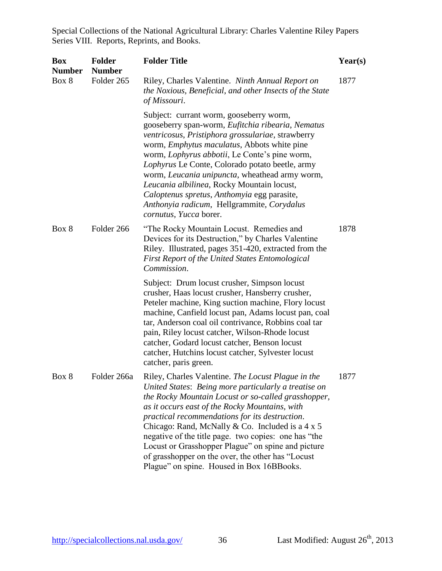| <b>Box</b><br><b>Number</b> | <b>Folder</b><br><b>Number</b> | <b>Folder Title</b>                                                                                                                                                                                                                                                                                                                                                                                                                                                                                                                               | Year(s) |
|-----------------------------|--------------------------------|---------------------------------------------------------------------------------------------------------------------------------------------------------------------------------------------------------------------------------------------------------------------------------------------------------------------------------------------------------------------------------------------------------------------------------------------------------------------------------------------------------------------------------------------------|---------|
| Box 8                       | Folder 265                     | Riley, Charles Valentine. Ninth Annual Report on<br>the Noxious, Beneficial, and other Insects of the State<br>of Missouri.                                                                                                                                                                                                                                                                                                                                                                                                                       | 1877    |
|                             |                                | Subject: currant worm, gooseberry worm,<br>gooseberry span-worm, Eufitchia ribearia, Nematus<br>ventricosus, Pristiphora grossulariae, strawberry<br>worm, <i>Emphytus maculatus</i> , Abbots white pine<br>worm, Lophyrus abbotii, Le Conte's pine worm,<br>Lophyrus Le Conte, Colorado potato beetle, army<br>worm, Leucania unipuncta, wheathead army worm,<br>Leucania albilinea, Rocky Mountain locust,<br>Caloptenus spretus, Anthomyia egg parasite,<br>Anthonyia radicum, Hellgrammite, Corydalus<br>cornutus, Yucca borer.               |         |
| Box 8                       | Folder 266                     | "The Rocky Mountain Locust. Remedies and<br>Devices for its Destruction," by Charles Valentine<br>Riley. Illustrated, pages 351-420, extracted from the<br>First Report of the United States Entomological<br>Commission.                                                                                                                                                                                                                                                                                                                         | 1878    |
|                             |                                | Subject: Drum locust crusher, Simpson locust<br>crusher, Haas locust crusher, Hansberry crusher,<br>Peteler machine, King suction machine, Flory locust<br>machine, Canfield locust pan, Adams locust pan, coal<br>tar, Anderson coal oil contrivance, Robbins coal tar<br>pain, Riley locust catcher, Wilson-Rhode locust<br>catcher, Godard locust catcher, Benson locust<br>catcher, Hutchins locust catcher, Sylvester locust<br>catcher, paris green.                                                                                        |         |
| Box 8                       | Folder 266a                    | Riley, Charles Valentine. The Locust Plague in the<br>United States: Being more particularly a treatise on<br>the Rocky Mountain Locust or so-called grasshopper,<br>as it occurs east of the Rocky Mountains, with<br>practical recommendations for its destruction.<br>Chicago: Rand, McNally & Co. Included is a $4 \times 5$<br>negative of the title page. two copies: one has "the<br>Locust or Grasshopper Plague" on spine and picture<br>of grasshopper on the over, the other has "Locust"<br>Plague" on spine. Housed in Box 16BBooks. | 1877    |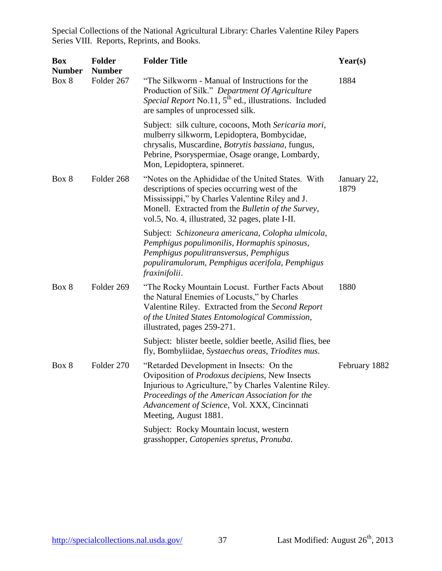| <b>Box</b>             | <b>Folder</b><br><b>Number</b> | <b>Folder Title</b>                                                                                                                                                                                                                                                                      | Year(s)             |
|------------------------|--------------------------------|------------------------------------------------------------------------------------------------------------------------------------------------------------------------------------------------------------------------------------------------------------------------------------------|---------------------|
| <b>Number</b><br>Box 8 | Folder 267                     | "The Silkworm - Manual of Instructions for the<br>Production of Silk." Department Of Agriculture<br>Special Report No.11, 5 <sup>th</sup> ed., illustrations. Included<br>are samples of unprocessed silk.                                                                               | 1884                |
|                        |                                | Subject: silk culture, cocoons, Moth Sericaria mori,<br>mulberry silkworm, Lepidoptera, Bombycidae,<br>chrysalis, Muscardine, Botrytis bassiana, fungus,<br>Pebrine, Psoryspermiae, Osage orange, Lombardy,<br>Mon, Lepidoptera, spinneret.                                              |                     |
| Box 8                  | Folder 268                     | "Notes on the Aphididae of the United States. With<br>descriptions of species occurring west of the<br>Mississippi," by Charles Valentine Riley and J.<br>Monell. Extracted from the Bulletin of the Survey,<br>vol.5, No. 4, illustrated, 32 pages, plate I-II.                         | January 22,<br>1879 |
|                        |                                | Subject: Schizoneura americana, Colopha ulmicola,<br>Pemphigus populimonilis, Hormaphis spinosus,<br>Pemphigus populitransversus, Pemphigus<br>populiramulorum, Pemphigus acerifola, Pemphigus<br>fraxinifolii.                                                                          |                     |
| Box 8                  | Folder 269                     | "The Rocky Mountain Locust. Further Facts About<br>the Natural Enemies of Locusts," by Charles<br>Valentine Riley. Extracted from the Second Report<br>of the United States Entomological Commission,<br>illustrated, pages 259-271.                                                     | 1880                |
|                        |                                | Subject: blister beetle, soldier beetle, Asilid flies, bee<br>fly, Bombyliidae, Systaechus oreas, Triodites mus.                                                                                                                                                                         |                     |
| Box 8                  | Folder 270                     | "Retarded Development in Insects: On the<br>Oviposition of <i>Prodoxus decipiens</i> , New Insects<br>Injurious to Agriculture," by Charles Valentine Riley.<br>Proceedings of the American Association for the<br>Advancement of Science, Vol. XXX, Cincinnati<br>Meeting, August 1881. | February 1882       |
|                        |                                | Subject: Rocky Mountain locust, western<br>grasshopper, Catopenies spretus, Pronuba.                                                                                                                                                                                                     |                     |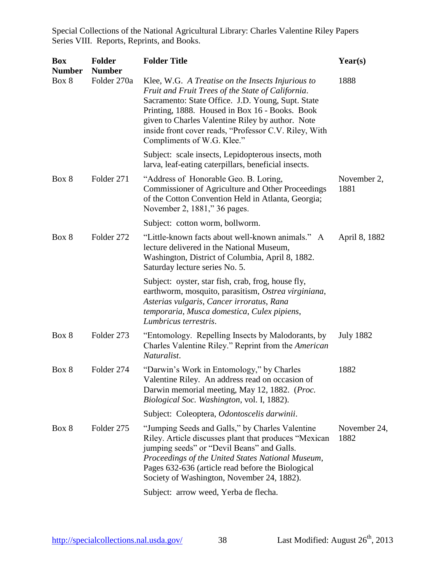| <b>Box</b><br><b>Number</b> | <b>Folder</b><br><b>Number</b> | <b>Folder Title</b>                                                                                                                                                                                                                                                                                                                                      | Year(s)              |
|-----------------------------|--------------------------------|----------------------------------------------------------------------------------------------------------------------------------------------------------------------------------------------------------------------------------------------------------------------------------------------------------------------------------------------------------|----------------------|
| Box 8                       | Folder 270a                    | Klee, W.G. A Treatise on the Insects Injurious to<br>Fruit and Fruit Trees of the State of California.<br>Sacramento: State Office. J.D. Young, Supt. State<br>Printing, 1888. Housed in Box 16 - Books. Book<br>given to Charles Valentine Riley by author. Note<br>inside front cover reads, "Professor C.V. Riley, With<br>Compliments of W.G. Klee." | 1888                 |
|                             |                                | Subject: scale insects, Lepidopterous insects, moth<br>larva, leaf-eating caterpillars, beneficial insects.                                                                                                                                                                                                                                              |                      |
| Box 8                       | Folder 271                     | "Address of Honorable Geo. B. Loring,<br>Commissioner of Agriculture and Other Proceedings<br>of the Cotton Convention Held in Atlanta, Georgia;<br>November 2, 1881," 36 pages.                                                                                                                                                                         | November 2,<br>1881  |
|                             |                                | Subject: cotton worm, bollworm.                                                                                                                                                                                                                                                                                                                          |                      |
| Box 8                       | Folder 272                     | "Little-known facts about well-known animals." A<br>lecture delivered in the National Museum,<br>Washington, District of Columbia, April 8, 1882.<br>Saturday lecture series No. 5.                                                                                                                                                                      | April 8, 1882        |
|                             |                                | Subject: oyster, star fish, crab, frog, house fly,<br>earthworm, mosquito, parasitism, Ostrea virginiana,<br>Asterias vulgaris, Cancer irroratus, Rana<br>temporaria, Musca domestica, Culex pipiens,<br>Lumbricus terrestris.                                                                                                                           |                      |
| Box 8                       | Folder 273                     | "Entomology. Repelling Insects by Malodorants, by<br>Charles Valentine Riley." Reprint from the American<br>Naturalist.                                                                                                                                                                                                                                  | <b>July 1882</b>     |
| Box 8                       | Folder 274                     | "Darwin's Work in Entomology," by Charles<br>Valentine Riley. An address read on occasion of<br>Darwin memorial meeting, May 12, 1882. (Proc.<br>Biological Soc. Washington, vol. I, 1882).                                                                                                                                                              | 1882                 |
|                             |                                | Subject: Coleoptera, Odontoscelis darwinii.                                                                                                                                                                                                                                                                                                              |                      |
| Box 8                       | Folder 275                     | "Jumping Seeds and Galls," by Charles Valentine<br>Riley. Article discusses plant that produces "Mexican<br>jumping seeds" or "Devil Beans" and Galls.<br>Proceedings of the United States National Museum,<br>Pages 632-636 (article read before the Biological<br>Society of Washington, November 24, 1882).                                           | November 24,<br>1882 |
|                             |                                | Subject: arrow weed, Yerba de flecha.                                                                                                                                                                                                                                                                                                                    |                      |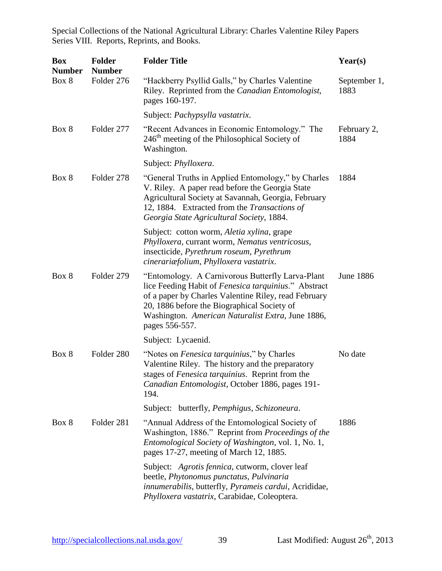| <b>Box</b><br><b>Number</b> | <b>Folder</b><br><b>Number</b> | <b>Folder Title</b>                                                                                                                                                                                                                                                                            | Year(s)              |
|-----------------------------|--------------------------------|------------------------------------------------------------------------------------------------------------------------------------------------------------------------------------------------------------------------------------------------------------------------------------------------|----------------------|
| Box 8                       | Folder 276                     | "Hackberry Psyllid Galls," by Charles Valentine<br>Riley. Reprinted from the Canadian Entomologist,<br>pages 160-197.                                                                                                                                                                          | September 1,<br>1883 |
|                             |                                | Subject: Pachypsylla vastatrix.                                                                                                                                                                                                                                                                |                      |
| Box 8                       | Folder 277                     | "Recent Advances in Economic Entomology." The<br>246 <sup>th</sup> meeting of the Philosophical Society of<br>Washington.                                                                                                                                                                      | February 2,<br>1884  |
|                             |                                | Subject: Phylloxera.                                                                                                                                                                                                                                                                           |                      |
| Box 8                       | Folder 278                     | "General Truths in Applied Entomology," by Charles<br>V. Riley. A paper read before the Georgia State<br>Agricultural Society at Savannah, Georgia, February<br>12, 1884. Extracted from the Transactions of<br>Georgia State Agricultural Society, 1884.                                      | 1884                 |
|                             |                                | Subject: cotton worm, Aletia xylina, grape<br>Phylloxera, currant worm, Nematus ventricosus,<br>insecticide, Pyrethrum roseum, Pyrethrum<br>cinerariæfolium, Phylloxera vastatrix.                                                                                                             |                      |
| Box 8                       | Folder 279                     | "Entomology. A Carnivorous Butterfly Larva-Plant<br>lice Feeding Habit of <i>Fenesica tarquinius</i> ." Abstract<br>of a paper by Charles Valentine Riley, read February<br>20, 1886 before the Biographical Society of<br>Washington. American Naturalist Extra, June 1886,<br>pages 556-557. | <b>June 1886</b>     |
|                             |                                | Subject: Lycaenid.                                                                                                                                                                                                                                                                             |                      |
| Box 8                       | Folder 280                     | "Notes on <i>Fenesica tarquinius</i> ," by Charles<br>Valentine Riley. The history and the preparatory<br>stages of Fenesica tarquinius. Reprint from the<br>Canadian Entomologist, October 1886, pages 191-<br>194.                                                                           | No date              |
|                             |                                | Subject: butterfly, Pemphigus, Schizoneura.                                                                                                                                                                                                                                                    |                      |
| Box 8                       | Folder 281                     | "Annual Address of the Entomological Society of<br>Washington, 1886." Reprint from Proceedings of the<br>Entomological Society of Washington, vol. 1, No. 1,<br>pages 17-27, meeting of March 12, 1885.                                                                                        | 1886                 |
|                             |                                | Subject: Agrotis fennica, cutworm, clover leaf<br>beetle, Phytonomus punctatus, Pulvinaria<br>innumerabilis, butterfly, Pyrameis cardui, Acrididae,<br>Phylloxera vastatrix, Carabidae, Coleoptera.                                                                                            |                      |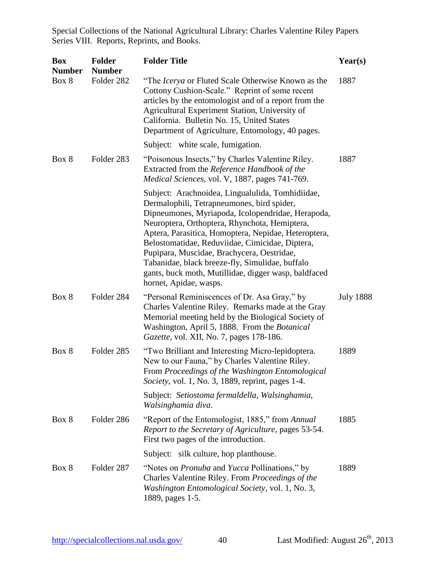| <b>Box</b><br><b>Number</b> | <b>Folder</b><br><b>Number</b> | <b>Folder Title</b>                                                                                                                                                                                                                                                                                                                                                                                                                                                                                | Year(s)          |
|-----------------------------|--------------------------------|----------------------------------------------------------------------------------------------------------------------------------------------------------------------------------------------------------------------------------------------------------------------------------------------------------------------------------------------------------------------------------------------------------------------------------------------------------------------------------------------------|------------------|
| Box 8                       | Folder 282                     | "The <i>Icerya</i> or Fluted Scale Otherwise Known as the<br>Cottony Cushion-Scale." Reprint of some recent<br>articles by the entomologist and of a report from the<br>Agricultural Experiment Station, University of<br>California. Bulletin No. 15, United States<br>Department of Agriculture, Entomology, 40 pages.                                                                                                                                                                           | 1887             |
|                             |                                | Subject: white scale, fumigation.                                                                                                                                                                                                                                                                                                                                                                                                                                                                  |                  |
| Box 8                       | Folder 283                     | "Poisonous Insects," by Charles Valentine Riley.<br>Extracted from the Reference Handbook of the<br>Medical Sciences, vol. V, 1887, pages 741-769.                                                                                                                                                                                                                                                                                                                                                 | 1887             |
|                             |                                | Subject: Arachnoidea, Lingualulida, Tomhidiidae,<br>Dermalophili, Tetrapneumones, bird spider,<br>Dipneumones, Myriapoda, Icolopendridae, Herapoda,<br>Neuroptera, Orthoptera, Rhynchota, Hemiptera,<br>Aptera, Parasitica, Homoptera, Nepidae, Heteroptera,<br>Belostomatidae, Reduviidae, Cimicidae, Diptera,<br>Pupipara, Muscidae, Brachycera, Oestridae,<br>Tabanidae, black breeze-fly, Simulidae, buffalo<br>gants, buck moth, Mutillidae, digger wasp, baldfaced<br>hornet, Apidae, wasps. |                  |
| Box 8                       | Folder 284                     | "Personal Reminiscences of Dr. Asa Gray," by<br>Charles Valentine Riley. Remarks made at the Gray<br>Memorial meeting held by the Biological Society of<br>Washington, April 5, 1888. From the Botanical<br>Gazette, vol. XII, No. 7, pages 178-186.                                                                                                                                                                                                                                               | <b>July 1888</b> |
| Box 8                       | Folder 285                     | "Two Brilliant and Interesting Micro-lepidoptera.<br>New to our Fauna," by Charles Valentine Riley.<br>From Proceedings of the Washington Entomological<br>Society, vol. 1, No. 3, 1889, reprint, pages 1-4.                                                                                                                                                                                                                                                                                       | 1889             |
|                             |                                | Subject: Setiostoma fermaldella, Walsinghamia,<br>Walsinghamia diva.                                                                                                                                                                                                                                                                                                                                                                                                                               |                  |
| Box 8                       | Folder 286                     | "Report of the Entomologist, 1885," from Annual<br>Report to the Secretary of Agriculture, pages 53-54.<br>First two pages of the introduction.                                                                                                                                                                                                                                                                                                                                                    | 1885             |
|                             |                                | Subject: silk culture, hop planthouse.                                                                                                                                                                                                                                                                                                                                                                                                                                                             |                  |
| Box 8                       | Folder 287                     | "Notes on <i>Pronuba</i> and <i>Yucca</i> Pollinations," by<br>Charles Valentine Riley. From Proceedings of the<br>Washington Entomological Society, vol. 1, No. 3,<br>1889, pages 1-5.                                                                                                                                                                                                                                                                                                            | 1889             |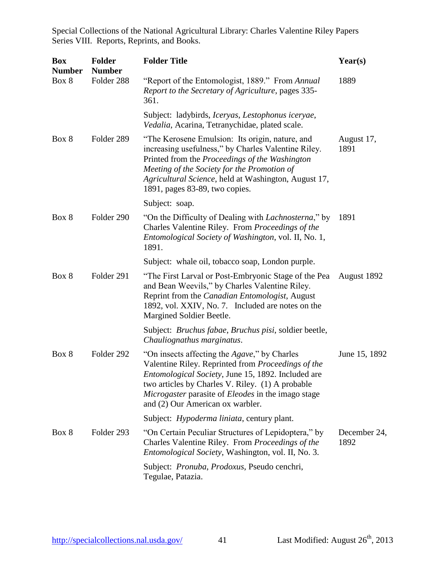| <b>Box</b><br><b>Number</b> | <b>Folder</b><br><b>Number</b> | <b>Folder Title</b>                                                                                                                                                                                                                                                                                            | Year(s)              |
|-----------------------------|--------------------------------|----------------------------------------------------------------------------------------------------------------------------------------------------------------------------------------------------------------------------------------------------------------------------------------------------------------|----------------------|
| Box 8                       | Folder 288                     | "Report of the Entomologist, 1889." From Annual<br>Report to the Secretary of Agriculture, pages 335-<br>361.                                                                                                                                                                                                  | 1889                 |
|                             |                                | Subject: ladybirds, Iceryas, Lestophonus iceryae,<br>Vedalia, Acarina, Tetranychidae, plated scale.                                                                                                                                                                                                            |                      |
| Box 8                       | Folder 289                     | "The Kerosene Emulsion: Its origin, nature, and<br>increasing usefulness," by Charles Valentine Riley.<br>Printed from the Proceedings of the Washington<br>Meeting of the Society for the Promotion of<br>Agricultural Science, held at Washington, August 17,<br>1891, pages 83-89, two copies.              | August 17,<br>1891   |
|                             |                                | Subject: soap.                                                                                                                                                                                                                                                                                                 |                      |
| Box 8                       | Folder 290                     | "On the Difficulty of Dealing with Lachnosterna," by<br>Charles Valentine Riley. From Proceedings of the<br>Entomological Society of Washington, vol. II, No. 1,<br>1891.                                                                                                                                      | 1891                 |
|                             |                                | Subject: whale oil, tobacco soap, London purple.                                                                                                                                                                                                                                                               |                      |
| Box 8                       | Folder 291                     | "The First Larval or Post-Embryonic Stage of the Pea<br>and Bean Weevils," by Charles Valentine Riley.<br>Reprint from the Canadian Entomologist, August<br>1892, vol. XXIV, No. 7. Included are notes on the<br>Margined Soldier Beetle.                                                                      | August 1892          |
|                             |                                | Subject: <i>Bruchus fabae, Bruchus pisi</i> , soldier beetle,<br>Chauliognathus marginatus.                                                                                                                                                                                                                    |                      |
| Box 8                       | Folder 292                     | "On insects affecting the <i>Agave</i> ," by Charles<br>Valentine Riley. Reprinted from Proceedings of the<br>Entomological Society, June 15, 1892. Included are<br>two articles by Charles V. Riley. (1) A probable<br>Microgaster parasite of Eleodes in the imago stage<br>and (2) Our American ox warbler. | June 15, 1892        |
|                             |                                | Subject: <i>Hypoderma liniata</i> , century plant.                                                                                                                                                                                                                                                             |                      |
| Box 8                       | Folder 293                     | "On Certain Peculiar Structures of Lepidoptera," by<br>Charles Valentine Riley. From Proceedings of the<br><i>Entomological Society, Washington, vol. II, No. 3.</i>                                                                                                                                           | December 24,<br>1892 |
|                             |                                | Subject: <i>Pronuba, Prodoxus</i> , Pseudo cenchri,<br>Tegulae, Patazia.                                                                                                                                                                                                                                       |                      |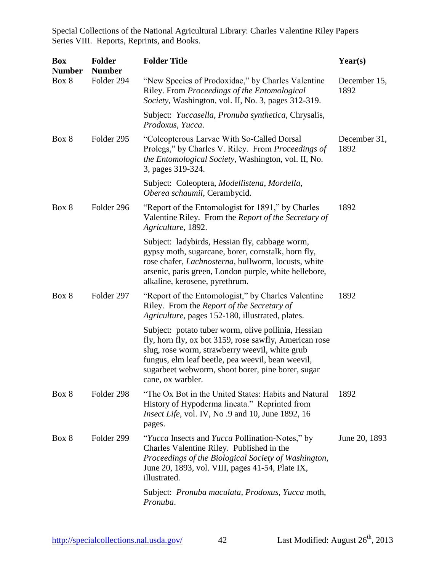| <b>Box</b><br><b>Number</b> | <b>Folder</b><br><b>Number</b> | <b>Folder Title</b>                                                                                                                                                                                                                                                                            | Year(s)              |
|-----------------------------|--------------------------------|------------------------------------------------------------------------------------------------------------------------------------------------------------------------------------------------------------------------------------------------------------------------------------------------|----------------------|
| Box 8                       | Folder 294                     | "New Species of Prodoxidae," by Charles Valentine<br>Riley. From Proceedings of the Entomological<br>Society, Washington, vol. II, No. 3, pages 312-319.                                                                                                                                       | December 15,<br>1892 |
|                             |                                | Subject: Yuccasella, Pronuba synthetica, Chrysalis,<br>Prodoxus, Yucca.                                                                                                                                                                                                                        |                      |
| Box 8                       | Folder 295                     | "Coleopterous Larvae With So-Called Dorsal<br>Prolegs," by Charles V. Riley. From Proceedings of<br><i>the Entomological Society, Washington, vol. II, No.</i><br>3, pages 319-324.                                                                                                            | December 31,<br>1892 |
|                             |                                | Subject: Coleoptera, Modellistena, Mordella,<br>Oberea schaumii, Cerambycid.                                                                                                                                                                                                                   |                      |
| Box 8                       | Folder 296                     | "Report of the Entomologist for 1891," by Charles<br>Valentine Riley. From the Report of the Secretary of<br>Agriculture, 1892.                                                                                                                                                                | 1892                 |
|                             |                                | Subject: ladybirds, Hessian fly, cabbage worm,<br>gypsy moth, sugarcane, borer, cornstalk, horn fly,<br>rose chafer, <i>Lachnosterna</i> , bullworm, locusts, white<br>arsenic, paris green, London purple, white hellebore,<br>alkaline, kerosene, pyrethrum.                                 |                      |
| Box 8                       | Folder 297                     | "Report of the Entomologist," by Charles Valentine<br>Riley. From the Report of the Secretary of<br>Agriculture, pages 152-180, illustrated, plates.                                                                                                                                           | 1892                 |
|                             |                                | Subject: potato tuber worm, olive pollinia, Hessian<br>fly, horn fly, ox bot 3159, rose sawfly, American rose<br>slug, rose worm, strawberry weevil, white grub<br>fungus, elm leaf beetle, pea weevil, bean weevil,<br>sugarbeet webworm, shoot borer, pine borer, sugar<br>cane, ox warbler. |                      |
| Box 8                       | Folder 298                     | "The Ox Bot in the United States: Habits and Natural<br>History of Hypoderma lineata." Reprinted from<br><i>Insect Life</i> , vol. IV, No .9 and 10, June 1892, 16<br>pages.                                                                                                                   | 1892                 |
| Box 8                       | Folder 299                     | "Yucca Insects and Yucca Pollination-Notes," by<br>Charles Valentine Riley. Published in the<br>Proceedings of the Biological Society of Washington,<br>June 20, 1893, vol. VIII, pages 41-54, Plate IX,<br>illustrated.                                                                       | June 20, 1893        |
|                             |                                | Subject: Pronuba maculata, Prodoxus, Yucca moth,<br>Pronuba.                                                                                                                                                                                                                                   |                      |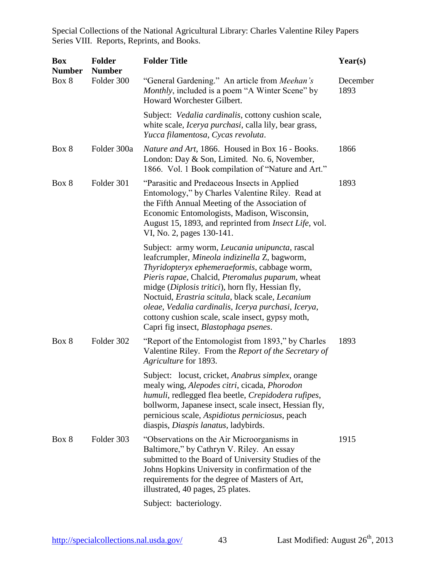| <b>Box</b><br><b>Number</b> | <b>Folder</b><br><b>Number</b> | <b>Folder Title</b>                                                                                                                                                                                                                                                                                                                                                                                                                                                     | Year(s)          |
|-----------------------------|--------------------------------|-------------------------------------------------------------------------------------------------------------------------------------------------------------------------------------------------------------------------------------------------------------------------------------------------------------------------------------------------------------------------------------------------------------------------------------------------------------------------|------------------|
| Box 8                       | Folder 300                     | "General Gardening." An article from <i>Meehan's</i><br><i>Monthly</i> , included is a poem "A Winter Scene" by<br>Howard Worchester Gilbert.                                                                                                                                                                                                                                                                                                                           | December<br>1893 |
|                             |                                | Subject: Vedalia cardinalis, cottony cushion scale,<br>white scale, <i>Icerya purchasi</i> , calla lily, bear grass,<br>Yucca filamentosa, Cycas revoluta.                                                                                                                                                                                                                                                                                                              |                  |
| Box 8                       | Folder 300a                    | Nature and Art, 1866. Housed in Box 16 - Books.<br>London: Day & Son, Limited. No. 6, November,<br>1866. Vol. 1 Book compilation of "Nature and Art."                                                                                                                                                                                                                                                                                                                   | 1866             |
| Box 8                       | Folder 301                     | "Parasitic and Predaceous Insects in Applied"<br>Entomology," by Charles Valentine Riley. Read at<br>the Fifth Annual Meeting of the Association of<br>Economic Entomologists, Madison, Wisconsin,<br>August 15, 1893, and reprinted from <i>Insect Life</i> , vol.<br>VI, No. 2, pages 130-141.                                                                                                                                                                        | 1893             |
|                             |                                | Subject: army worm, Leucania unipuncta, rascal<br>leafcrumpler, Mineola indizinella Z, bagworm,<br>Thyridopteryx ephemeraeformis, cabbage worm,<br>Pieris rapae, Chalcid, Pteromalus puparum, wheat<br>midge (Diplosis tritici), horn fly, Hessian fly,<br>Noctuid, Erastria scitula, black scale, Lecanium<br>oleae, Vedalia cardinalis, Icerya purchasi, Icerya,<br>cottony cushion scale, scale insect, gypsy moth,<br>Capri fig insect, <i>Blastophaga psenes</i> . |                  |
| Box 8                       | Folder 302                     | "Report of the Entomologist from 1893," by Charles<br>Valentine Riley. From the Report of the Secretary of<br>Agriculture for 1893.                                                                                                                                                                                                                                                                                                                                     | 1893             |
|                             |                                | Subject: locust, cricket, <i>Anabrus simplex</i> , orange<br>mealy wing, Alepodes citri, cicada, Phorodon<br>humuli, redlegged flea beetle, Crepidodera rufipes,<br>bollworm, Japanese insect, scale insect, Hessian fly,<br>pernicious scale, Aspidiotus perniciosus, peach<br>diaspis, Diaspis lanatus, ladybirds.                                                                                                                                                    |                  |
| Box 8                       | Folder 303                     | "Observations on the Air Microorganisms in<br>Baltimore," by Cathryn V. Riley. An essay<br>submitted to the Board of University Studies of the<br>Johns Hopkins University in confirmation of the<br>requirements for the degree of Masters of Art,<br>illustrated, 40 pages, 25 plates.                                                                                                                                                                                | 1915             |
|                             |                                | Subject: bacteriology.                                                                                                                                                                                                                                                                                                                                                                                                                                                  |                  |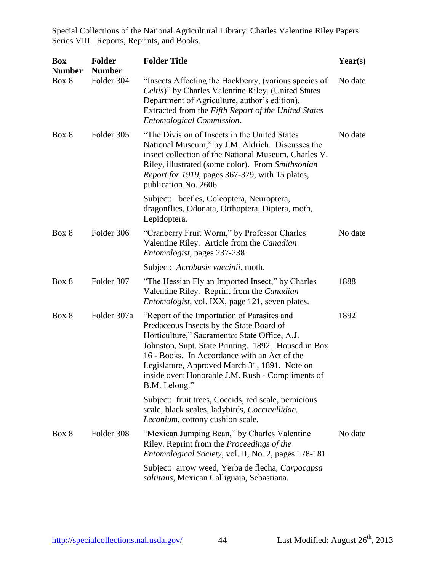| <b>Box</b><br><b>Number</b> | <b>Folder</b><br><b>Number</b> | <b>Folder Title</b>                                                                                                                                                                                                                                                                                                                                                    | Year(s) |
|-----------------------------|--------------------------------|------------------------------------------------------------------------------------------------------------------------------------------------------------------------------------------------------------------------------------------------------------------------------------------------------------------------------------------------------------------------|---------|
| Box 8                       | Folder 304                     | "Insects Affecting the Hackberry, (various species of<br>Celtis)" by Charles Valentine Riley, (United States<br>Department of Agriculture, author's edition).<br>Extracted from the Fifth Report of the United States<br><b>Entomological Commission.</b>                                                                                                              | No date |
| Box 8                       | Folder 305                     | "The Division of Insects in the United States<br>National Museum," by J.M. Aldrich. Discusses the<br>insect collection of the National Museum, Charles V.<br>Riley, illustrated (some color). From Smithsonian<br>Report for 1919, pages 367-379, with 15 plates,<br>publication No. 2606.                                                                             | No date |
|                             |                                | Subject: beetles, Coleoptera, Neuroptera,<br>dragonflies, Odonata, Orthoptera, Diptera, moth,<br>Lepidoptera.                                                                                                                                                                                                                                                          |         |
| Box 8                       | Folder 306                     | "Cranberry Fruit Worm," by Professor Charles<br>Valentine Riley. Article from the Canadian<br>Entomologist, pages 237-238                                                                                                                                                                                                                                              | No date |
|                             |                                | Subject: Acrobasis vaccinii, moth.                                                                                                                                                                                                                                                                                                                                     |         |
| Box 8                       | Folder 307                     | "The Hessian Fly an Imported Insect," by Charles<br>Valentine Riley. Reprint from the Canadian<br><i>Entomologist</i> , vol. IXX, page 121, seven plates.                                                                                                                                                                                                              | 1888    |
| Box 8                       | Folder 307a                    | "Report of the Importation of Parasites and<br>Predaceous Insects by the State Board of<br>Horticulture," Sacramento: State Office, A.J.<br>Johnston, Supt. State Printing. 1892. Housed in Box<br>16 - Books. In Accordance with an Act of the<br>Legislature, Approved March 31, 1891. Note on<br>inside over: Honorable J.M. Rush - Compliments of<br>B.M. Lelong." | 1892    |
|                             |                                | Subject: fruit trees, Coccids, red scale, pernicious<br>scale, black scales, ladybirds, Coccinellidae,<br>Lecanium, cottony cushion scale.                                                                                                                                                                                                                             |         |
| Box 8                       | Folder 308                     | "Mexican Jumping Bean," by Charles Valentine<br>Riley. Reprint from the Proceedings of the<br>Entomological Society, vol. II, No. 2, pages 178-181.                                                                                                                                                                                                                    | No date |
|                             |                                | Subject: arrow weed, Yerba de flecha, Carpocapsa<br>saltitans, Mexican Calliguaja, Sebastiana.                                                                                                                                                                                                                                                                         |         |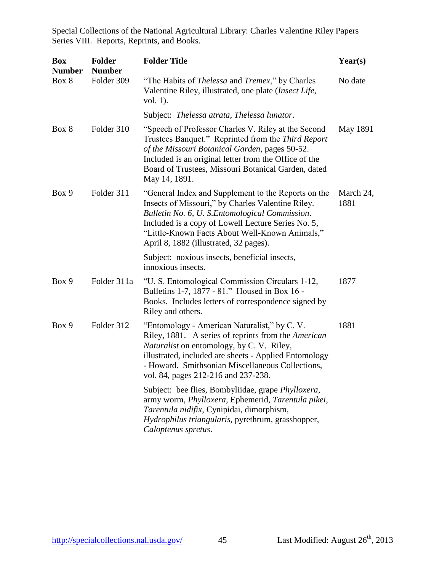| <b>Box</b><br><b>Number</b> | <b>Folder</b><br><b>Number</b> | <b>Folder Title</b>                                                                                                                                                                                                                                                                                          | Year(s)           |
|-----------------------------|--------------------------------|--------------------------------------------------------------------------------------------------------------------------------------------------------------------------------------------------------------------------------------------------------------------------------------------------------------|-------------------|
| Box 8                       | Folder 309                     | "The Habits of <i>Thelessa</i> and <i>Tremex</i> ," by Charles<br>Valentine Riley, illustrated, one plate (Insect Life,<br>vol. 1).                                                                                                                                                                          | No date           |
|                             |                                | Subject: Thelessa atrata, Thelessa lunator.                                                                                                                                                                                                                                                                  |                   |
| Box 8                       | Folder 310                     | "Speech of Professor Charles V. Riley at the Second<br>Trustees Banquet." Reprinted from the Third Report<br>of the Missouri Botanical Garden, pages 50-52.<br>Included is an original letter from the Office of the<br>Board of Trustees, Missouri Botanical Garden, dated<br>May 14, 1891.                 | May 1891          |
| Box 9                       | Folder 311                     | "General Index and Supplement to the Reports on the<br>Insects of Missouri," by Charles Valentine Riley.<br>Bulletin No. 6, U. S.Entomological Commission.<br>Included is a copy of Lowell Lecture Series No. 5,<br>"Little-Known Facts About Well-Known Animals,"<br>April 8, 1882 (illustrated, 32 pages). | March 24,<br>1881 |
|                             |                                | Subject: noxious insects, beneficial insects,<br>innoxious insects.                                                                                                                                                                                                                                          |                   |
| Box 9                       | Folder 311a                    | "U. S. Entomological Commission Circulars 1-12,<br>Bulletins 1-7, 1877 - 81." Housed in Box 16 -<br>Books. Includes letters of correspondence signed by<br>Riley and others.                                                                                                                                 | 1877              |
| Box 9                       | Folder 312                     | "Entomology - American Naturalist," by C.V.<br>Riley, 1881. A series of reprints from the American<br><i>Naturalist</i> on entomology, by C. V. Riley,<br>illustrated, included are sheets - Applied Entomology<br>- Howard. Smithsonian Miscellaneous Collections,<br>vol. 84, pages 212-216 and 237-238.   | 1881              |
|                             |                                | Subject: bee flies, Bombyliidae, grape Phylloxera,<br>army worm, Phylloxera, Ephemerid, Tarentula pikei,<br>Tarentula nidifix, Cynipidai, dimorphism,<br>Hydrophilus triangularis, pyrethrum, grasshopper,<br>Caloptenus spretus.                                                                            |                   |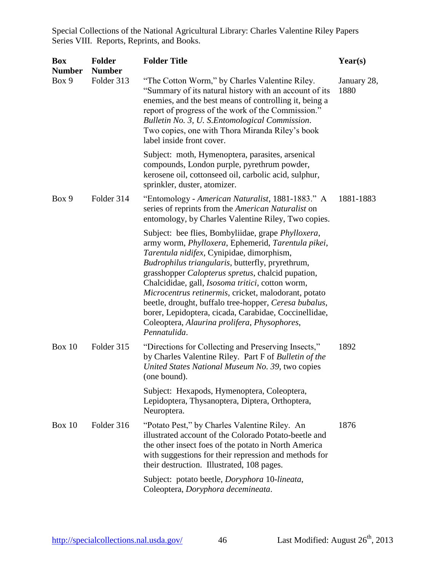| <b>Box</b><br><b>Number</b> | <b>Folder</b><br><b>Number</b> | <b>Folder Title</b>                                                                                                                                                                                                                                                                                                                                                                                                                                                                                                                                                          | Year(s)             |
|-----------------------------|--------------------------------|------------------------------------------------------------------------------------------------------------------------------------------------------------------------------------------------------------------------------------------------------------------------------------------------------------------------------------------------------------------------------------------------------------------------------------------------------------------------------------------------------------------------------------------------------------------------------|---------------------|
| Box 9                       | Folder 313                     | "The Cotton Worm," by Charles Valentine Riley.<br>"Summary of its natural history with an account of its<br>enemies, and the best means of controlling it, being a<br>report of progress of the work of the Commission."<br>Bulletin No. 3, U. S. Entomological Commission.<br>Two copies, one with Thora Miranda Riley's book<br>label inside front cover.                                                                                                                                                                                                                  | January 28,<br>1880 |
|                             |                                | Subject: moth, Hymenoptera, parasites, arsenical<br>compounds, London purple, pyrethrum powder,<br>kerosene oil, cottonseed oil, carbolic acid, sulphur,<br>sprinkler, duster, atomizer.                                                                                                                                                                                                                                                                                                                                                                                     |                     |
| Box 9                       | Folder 314                     | "Entomology - American Naturalist, 1881-1883." A<br>series of reprints from the American Naturalist on<br>entomology, by Charles Valentine Riley, Two copies.                                                                                                                                                                                                                                                                                                                                                                                                                | 1881-1883           |
|                             |                                | Subject: bee flies, Bombyliidae, grape <i>Phylloxera</i> ,<br>army worm, Phylloxera, Ephemerid, Tarentula pikei,<br>Tarentula nidifex, Cynipidae, dimorphism,<br>Budrophilus triangularis, butterfly, pryrethrum,<br>grasshopper Calopterus spretus, chalcid pupation,<br>Chalcididae, gall, <i>Isosoma tritici</i> , cotton worm,<br>Microcentrus retinermis, cricket, malodorant, potato<br>beetle, drought, buffalo tree-hopper, Ceresa bubalus,<br>borer, Lepidoptera, cicada, Carabidae, Coccinellidae,<br>Coleoptera, Alaurina prolifera, Physophores,<br>Pennatulida. |                     |
| <b>Box 10</b>               | Folder 315                     | "Directions for Collecting and Preserving Insects,"<br>by Charles Valentine Riley. Part F of Bulletin of the<br>United States National Museum No. 39, two copies<br>(one bound).                                                                                                                                                                                                                                                                                                                                                                                             | 1892                |
|                             |                                | Subject: Hexapods, Hymenoptera, Coleoptera,<br>Lepidoptera, Thysanoptera, Diptera, Orthoptera,<br>Neuroptera.                                                                                                                                                                                                                                                                                                                                                                                                                                                                |                     |
| Box $10$                    | Folder 316                     | "Potato Pest," by Charles Valentine Riley. An<br>illustrated account of the Colorado Potato-beetle and<br>the other insect foes of the potato in North America<br>with suggestions for their repression and methods for<br>their destruction. Illustrated, 108 pages.                                                                                                                                                                                                                                                                                                        | 1876                |
|                             |                                | Subject: potato beetle, Doryphora 10-lineata,<br>Coleoptera, Doryphora decemineata.                                                                                                                                                                                                                                                                                                                                                                                                                                                                                          |                     |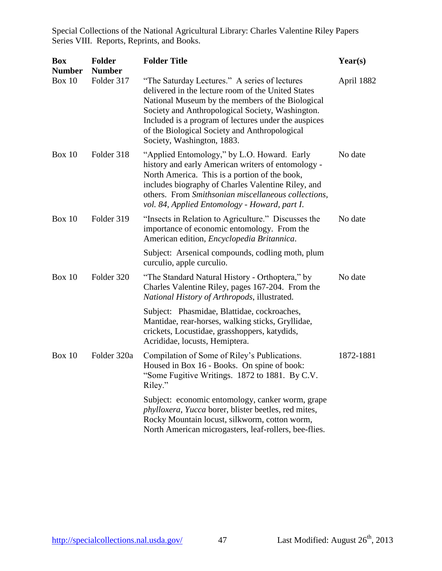| <b>Box</b><br><b>Number</b> | <b>Folder</b><br><b>Number</b> | <b>Folder Title</b>                                                                                                                                                                                                                                                                                                                                | Year(s)    |
|-----------------------------|--------------------------------|----------------------------------------------------------------------------------------------------------------------------------------------------------------------------------------------------------------------------------------------------------------------------------------------------------------------------------------------------|------------|
| <b>Box 10</b>               | Folder 317                     | "The Saturday Lectures." A series of lectures<br>delivered in the lecture room of the United States<br>National Museum by the members of the Biological<br>Society and Anthropological Society, Washington.<br>Included is a program of lectures under the auspices<br>of the Biological Society and Anthropological<br>Society, Washington, 1883. | April 1882 |
| <b>Box 10</b>               | Folder 318                     | "Applied Entomology," by L.O. Howard. Early<br>history and early American writers of entomology -<br>North America. This is a portion of the book,<br>includes biography of Charles Valentine Riley, and<br>others. From Smithsonian miscellaneous collections,<br>vol. 84, Applied Entomology - Howard, part I.                                   | No date    |
| Box $10$                    | Folder 319                     | "Insects in Relation to Agriculture." Discusses the<br>importance of economic entomology. From the<br>American edition, Encyclopedia Britannica.                                                                                                                                                                                                   | No date    |
|                             |                                | Subject: Arsenical compounds, codling moth, plum<br>curculio, apple curculio.                                                                                                                                                                                                                                                                      |            |
| <b>Box 10</b>               | Folder 320                     | "The Standard Natural History - Orthoptera," by<br>Charles Valentine Riley, pages 167-204. From the<br>National History of Arthropods, illustrated.                                                                                                                                                                                                | No date    |
|                             |                                | Subject: Phasmidae, Blattidae, cockroaches,<br>Mantidae, rear-horses, walking sticks, Gryllidae,<br>crickets, Locustidae, grasshoppers, katydids,<br>Acrididae, locusts, Hemiptera.                                                                                                                                                                |            |
| <b>Box 10</b>               | Folder 320a                    | Compilation of Some of Riley's Publications.<br>Housed in Box 16 - Books. On spine of book:<br>"Some Fugitive Writings. 1872 to 1881. By C.V.<br>Riley."                                                                                                                                                                                           | 1872-1881  |
|                             |                                | Subject: economic entomology, canker worm, grape<br>phylloxera, Yucca borer, blister beetles, red mites,<br>Rocky Mountain locust, silkworm, cotton worm,<br>North American microgasters, leaf-rollers, bee-flies.                                                                                                                                 |            |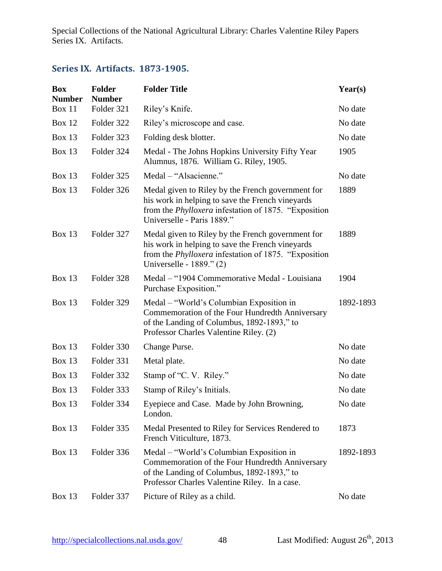#### <span id="page-48-0"></span>**Series IX. Artifacts. 1873-1905.**

| <b>Box</b><br><b>Number</b> | <b>Folder</b><br><b>Number</b> | <b>Folder Title</b>                                                                                                                                                                                | Year(s)   |
|-----------------------------|--------------------------------|----------------------------------------------------------------------------------------------------------------------------------------------------------------------------------------------------|-----------|
| Box 11                      | Folder 321                     | Riley's Knife.                                                                                                                                                                                     | No date   |
| <b>Box 12</b>               | Folder 322                     | Riley's microscope and case.                                                                                                                                                                       | No date   |
| Box $13$                    | Folder 323                     | Folding desk blotter.                                                                                                                                                                              | No date   |
| <b>Box 13</b>               | Folder 324                     | Medal - The Johns Hopkins University Fifty Year<br>Alumnus, 1876. William G. Riley, 1905.                                                                                                          | 1905      |
| Box $13$                    | Folder 325                     | Medal – "Alsacienne."                                                                                                                                                                              | No date   |
| <b>Box 13</b>               | Folder 326                     | Medal given to Riley by the French government for<br>his work in helping to save the French vineyards<br>from the <i>Phylloxera</i> infestation of 1875. "Exposition<br>Universelle - Paris 1889." | 1889      |
| <b>Box 13</b>               | Folder 327                     | Medal given to Riley by the French government for<br>his work in helping to save the French vineyards<br>from the <i>Phylloxera</i> infestation of 1875. "Exposition<br>Universelle - 1889." (2)   | 1889      |
| Box $13$                    | Folder 328                     | Medal – "1904 Commemorative Medal - Louisiana<br>Purchase Exposition."                                                                                                                             | 1904      |
| <b>Box 13</b>               | Folder 329                     | Medal – "World's Columbian Exposition in<br>Commemoration of the Four Hundredth Anniversary<br>of the Landing of Columbus, 1892-1893," to<br>Professor Charles Valentine Riley. (2)                | 1892-1893 |
| <b>Box 13</b>               | Folder 330                     | Change Purse.                                                                                                                                                                                      | No date   |
| <b>Box 13</b>               | Folder 331                     | Metal plate.                                                                                                                                                                                       | No date   |
| <b>Box 13</b>               | Folder 332                     | Stamp of "C. V. Riley."                                                                                                                                                                            | No date   |
| <b>Box 13</b>               | Folder 333                     | Stamp of Riley's Initials.                                                                                                                                                                         | No date   |
| Box $13$                    | Folder 334                     | Eyepiece and Case. Made by John Browning,<br>London.                                                                                                                                               | No date   |
| <b>Box 13</b>               | Folder 335                     | Medal Presented to Riley for Services Rendered to<br>French Viticulture, 1873.                                                                                                                     | 1873      |
| <b>Box 13</b>               | Folder 336                     | Medal – "World's Columbian Exposition in<br>Commemoration of the Four Hundredth Anniversary<br>of the Landing of Columbus, 1892-1893," to<br>Professor Charles Valentine Riley. In a case.         | 1892-1893 |
| <b>Box 13</b>               | Folder 337                     | Picture of Riley as a child.                                                                                                                                                                       | No date   |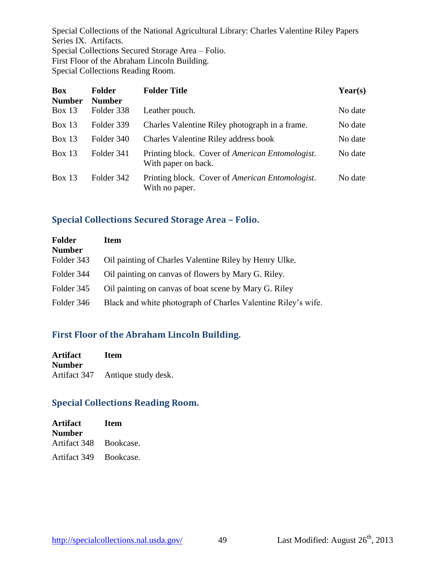Special Collections of the National Agricultural Library: Charles Valentine Riley Papers Series IX. Artifacts. Special Collections Secured Storage Area – Folio. First Floor of the Abraham Lincoln Building. Special Collections Reading Room.

| <b>Box</b><br><b>Number</b> | <b>Folder</b><br><b>Number</b> | <b>Folder Title</b>                                                            | Year(s) |
|-----------------------------|--------------------------------|--------------------------------------------------------------------------------|---------|
| Box $13$                    | Folder 338                     | Leather pouch.                                                                 | No date |
| Box 13                      | Folder 339                     | Charles Valentine Riley photograph in a frame.                                 | No date |
| Box 13                      | Folder 340                     | Charles Valentine Riley address book                                           | No date |
| Box $13$                    | Folder 341                     | Printing block. Cover of <i>American Entomologist</i> .<br>With paper on back. | No date |
| Box 13                      | Folder 342                     | Printing block. Cover of American Entomologist.<br>With no paper.              | No date |

#### <span id="page-49-0"></span>**Special Collections Secured Storage Area – Folio.**

| <b>Folder</b><br><b>Number</b> | Item                                                          |
|--------------------------------|---------------------------------------------------------------|
| Folder 343                     | Oil painting of Charles Valentine Riley by Henry Ulke.        |
| Folder 344                     | Oil painting on canvas of flowers by Mary G. Riley.           |
| Folder 345                     | Oil painting on canvas of boat scene by Mary G. Riley         |
| Folder 346                     | Black and white photograph of Charles Valentine Riley's wife. |

# <span id="page-49-1"></span>**First Floor of the Abraham Lincoln Building.**

| <b>Artifact</b> | <b>Item</b>         |
|-----------------|---------------------|
| <b>Number</b>   |                     |
| Artifact 347    | Antique study desk. |

# <span id="page-49-2"></span>**Special Collections Reading Room.**

| <b>Artifact</b>        | <b>Item</b> |
|------------------------|-------------|
| Number                 |             |
| Artifact 348 Bookcase. |             |
| Artifact 349 Bookcase. |             |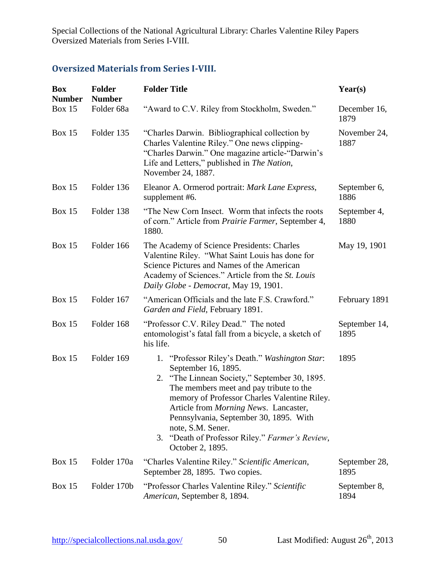Special Collections of the National Agricultural Library: Charles Valentine Riley Papers Oversized Materials from Series I-VIII.

# <span id="page-50-0"></span>**Oversized Materials from Series I-VIII.**

| <b>Box</b><br><b>Number</b> | <b>Folder</b><br><b>Number</b> | <b>Folder Title</b>                                                                                                                                                                                                                                                                                                                                                                                            | Year(s)               |
|-----------------------------|--------------------------------|----------------------------------------------------------------------------------------------------------------------------------------------------------------------------------------------------------------------------------------------------------------------------------------------------------------------------------------------------------------------------------------------------------------|-----------------------|
| <b>Box 15</b>               | Folder 68a                     | "Award to C.V. Riley from Stockholm, Sweden."                                                                                                                                                                                                                                                                                                                                                                  | December 16,<br>1879  |
| <b>Box 15</b>               | Folder 135                     | "Charles Darwin. Bibliographical collection by<br>Charles Valentine Riley." One news clipping-<br>"Charles Darwin." One magazine article-"Darwin's<br>Life and Letters," published in The Nation,<br>November 24, 1887.                                                                                                                                                                                        | November 24,<br>1887  |
| <b>Box 15</b>               | Folder 136                     | Eleanor A. Ormerod portrait: Mark Lane Express,<br>supplement #6.                                                                                                                                                                                                                                                                                                                                              | September 6,<br>1886  |
| <b>Box 15</b>               | Folder 138                     | "The New Corn Insect. Worm that infects the roots<br>of corn." Article from <i>Prairie Farmer</i> , September 4,<br>1880.                                                                                                                                                                                                                                                                                      | September 4,<br>1880  |
| <b>Box 15</b>               | Folder 166                     | The Academy of Science Presidents: Charles<br>Valentine Riley. "What Saint Louis has done for<br>Science Pictures and Names of the American<br>Academy of Sciences." Article from the <i>St. Louis</i><br>Daily Globe - Democrat, May 19, 1901.                                                                                                                                                                | May 19, 1901          |
| <b>Box 15</b>               | Folder 167                     | "American Officials and the late F.S. Crawford."<br>Garden and Field, February 1891.                                                                                                                                                                                                                                                                                                                           | February 1891         |
| <b>Box 15</b>               | Folder 168                     | "Professor C.V. Riley Dead." The noted<br>entomologist's fatal fall from a bicycle, a sketch of<br>his life.                                                                                                                                                                                                                                                                                                   | September 14,<br>1895 |
| <b>Box 15</b>               | Folder 169                     | 1. "Professor Riley's Death." Washington Star:<br>September 16, 1895.<br>"The Linnean Society," September 30, 1895.<br>2.<br>The members meet and pay tribute to the<br>memory of Professor Charles Valentine Riley.<br>Article from <i>Morning News</i> . Lancaster,<br>Pennsylvania, September 30, 1895. With<br>note, S.M. Sener.<br>"Death of Professor Riley." Farmer's Review,<br>3.<br>October 2, 1895. | 1895                  |
| <b>Box 15</b>               | Folder 170a                    | "Charles Valentine Riley." Scientific American,<br>September 28, 1895. Two copies.                                                                                                                                                                                                                                                                                                                             | September 28,<br>1895 |
| <b>Box 15</b>               | Folder 170b                    | "Professor Charles Valentine Riley." Scientific<br>American, September 8, 1894.                                                                                                                                                                                                                                                                                                                                | September 8,<br>1894  |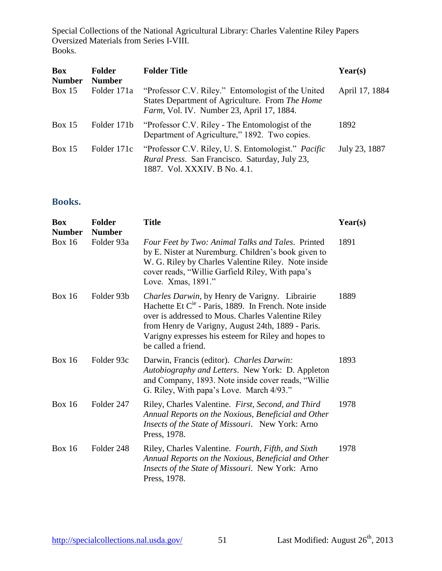Special Collections of the National Agricultural Library: Charles Valentine Riley Papers Oversized Materials from Series I-VIII. Books.

| <b>Box</b><br><b>Number</b> | <b>Folder</b><br><b>Number</b> | <b>Folder Title</b>                                                                                                                                        | Year(s)        |
|-----------------------------|--------------------------------|------------------------------------------------------------------------------------------------------------------------------------------------------------|----------------|
| Box $15$                    | Folder 171a                    | "Professor C.V. Riley." Entomologist of the United<br>States Department of Agriculture. From The Home<br><i>Farm</i> , Vol. IV. Number 23, April 17, 1884. | April 17, 1884 |
| Box $15$                    | Folder 171b                    | "Professor C.V. Riley - The Entomologist of the<br>Department of Agriculture," 1892. Two copies.                                                           | 1892           |
| Box $15$                    | Folder 171c                    | "Professor C.V. Riley, U. S. Entomologist." Pacific<br>Rural Press. San Francisco. Saturday, July 23,<br>1887. Vol. XXXIV. B No. 4.1.                      | July 23, 1887  |

#### <span id="page-51-0"></span>**Books.**

| <b>Box</b><br><b>Number</b> | <b>Folder</b><br><b>Number</b> | <b>Title</b>                                                                                                                                                                                                                                                                                          | Year(s) |
|-----------------------------|--------------------------------|-------------------------------------------------------------------------------------------------------------------------------------------------------------------------------------------------------------------------------------------------------------------------------------------------------|---------|
| <b>Box 16</b>               | Folder 93a                     | Four Feet by Two: Animal Talks and Tales. Printed<br>by E. Nister at Nuremburg. Children's book given to<br>W. G. Riley by Charles Valentine Riley. Note inside<br>cover reads, "Willie Garfield Riley, With papa's<br>Love. Xmas, 1891."                                                             | 1891    |
| <b>Box 16</b>               | Folder 93b                     | Charles Darwin, by Henry de Varigny. Librairie<br>Hachette Et $C^{ie}$ - Paris, 1889. In French. Note inside<br>over is addressed to Mous. Charles Valentine Riley<br>from Henry de Varigny, August 24th, 1889 - Paris.<br>Varigny expresses his esteem for Riley and hopes to<br>be called a friend. | 1889    |
| Box $16$                    | Folder 93c                     | Darwin, Francis (editor). Charles Darwin:<br>Autobiography and Letters. New York: D. Appleton<br>and Company, 1893. Note inside cover reads, "Willie<br>G. Riley, With papa's Love. March 4/93."                                                                                                      | 1893    |
| <b>Box 16</b>               | Folder 247                     | Riley, Charles Valentine. First, Second, and Third<br>Annual Reports on the Noxious, Beneficial and Other<br>Insects of the State of Missouri. New York: Arno<br>Press, 1978.                                                                                                                         | 1978    |
| <b>Box 16</b>               | Folder 248                     | Riley, Charles Valentine. Fourth, Fifth, and Sixth<br>Annual Reports on the Noxious, Beneficial and Other<br>Insects of the State of Missouri. New York: Arno<br>Press, 1978.                                                                                                                         | 1978    |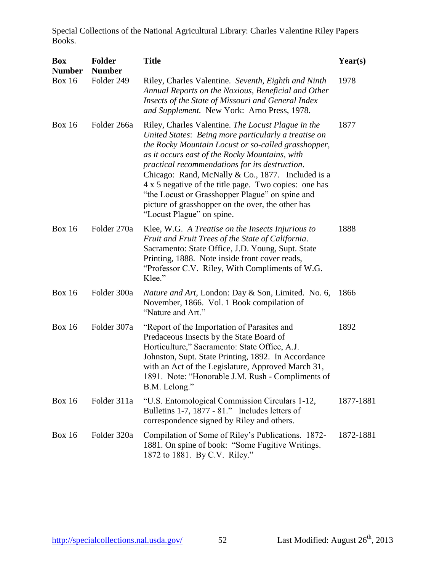| <b>Box</b><br><b>Number</b> | <b>Folder</b><br><b>Number</b> | <b>Title</b>                                                                                                                                                                                                                                                                                                                                                                                                                                                                                                             | Year(s)   |
|-----------------------------|--------------------------------|--------------------------------------------------------------------------------------------------------------------------------------------------------------------------------------------------------------------------------------------------------------------------------------------------------------------------------------------------------------------------------------------------------------------------------------------------------------------------------------------------------------------------|-----------|
| <b>Box 16</b>               | Folder 249                     | Riley, Charles Valentine. Seventh, Eighth and Ninth<br>Annual Reports on the Noxious, Beneficial and Other<br>Insects of the State of Missouri and General Index<br>and Supplement. New York: Arno Press, 1978.                                                                                                                                                                                                                                                                                                          | 1978      |
| <b>Box 16</b>               | Folder 266a                    | Riley, Charles Valentine. The Locust Plague in the<br>United States: Being more particularly a treatise on<br>the Rocky Mountain Locust or so-called grasshopper,<br>as it occurs east of the Rocky Mountains, with<br>practical recommendations for its destruction.<br>Chicago: Rand, McNally & Co., 1877. Included is a<br>4 x 5 negative of the title page. Two copies: one has<br>"the Locust or Grasshopper Plague" on spine and<br>picture of grasshopper on the over, the other has<br>"Locust Plague" on spine. | 1877      |
| <b>Box 16</b>               | Folder 270a                    | Klee, W.G. A Treatise on the Insects Injurious to<br>Fruit and Fruit Trees of the State of California.<br>Sacramento: State Office, J.D. Young, Supt. State<br>Printing, 1888. Note inside front cover reads,<br>"Professor C.V. Riley, With Compliments of W.G.<br>Klee."                                                                                                                                                                                                                                               | 1888      |
| <b>Box 16</b>               | Folder 300a                    | Nature and Art, London: Day & Son, Limited. No. 6,<br>November, 1866. Vol. 1 Book compilation of<br>"Nature and Art."                                                                                                                                                                                                                                                                                                                                                                                                    | 1866      |
| <b>Box 16</b>               | Folder 307a                    | "Report of the Importation of Parasites and<br>Predaceous Insects by the State Board of<br>Horticulture," Sacramento: State Office, A.J.<br>Johnston, Supt. State Printing, 1892. In Accordance<br>with an Act of the Legislature, Approved March 31,<br>1891. Note: "Honorable J.M. Rush - Compliments of<br>B.M. Lelong."                                                                                                                                                                                              | 1892      |
| <b>Box 16</b>               | Folder 311a                    | "U.S. Entomological Commission Circulars 1-12,<br>Bulletins 1-7, 1877 - 81." Includes letters of<br>correspondence signed by Riley and others.                                                                                                                                                                                                                                                                                                                                                                           | 1877-1881 |
| <b>Box 16</b>               | Folder 320a                    | Compilation of Some of Riley's Publications. 1872-<br>1881. On spine of book: "Some Fugitive Writings.<br>1872 to 1881. By C.V. Riley."                                                                                                                                                                                                                                                                                                                                                                                  | 1872-1881 |